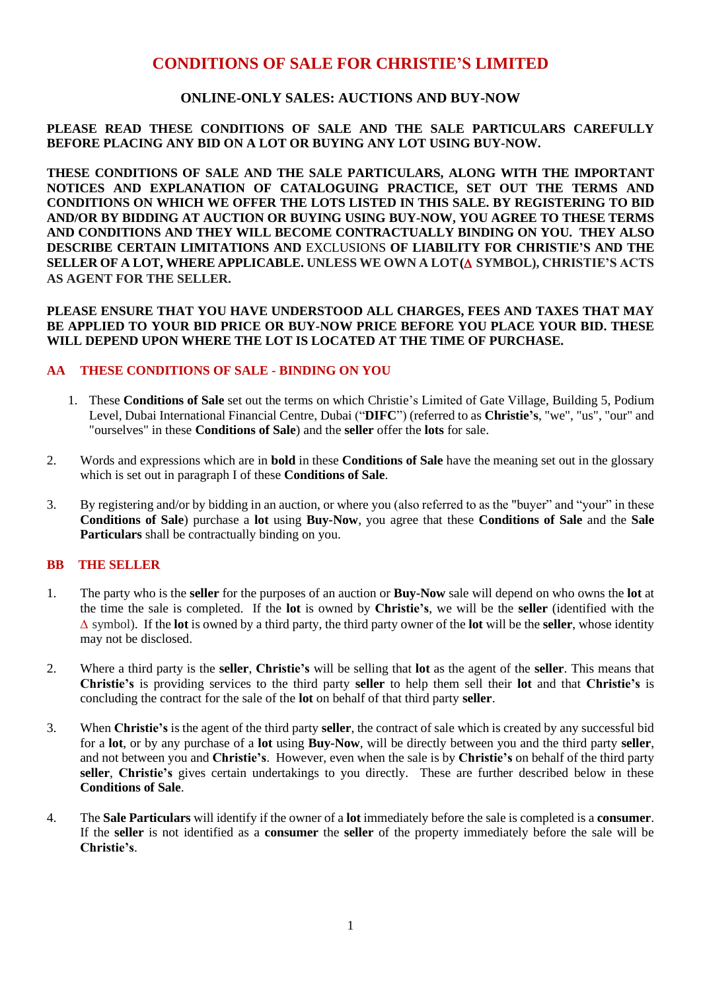# **CONDITIONS OF SALE FOR CHRISTIE'S LIMITED**

## **ONLINE-ONLY SALES: AUCTIONS AND BUY-NOW**

## **PLEASE READ THESE CONDITIONS OF SALE AND THE SALE PARTICULARS CAREFULLY BEFORE PLACING ANY BID ON A LOT OR BUYING ANY LOT USING BUY-NOW.**

**THESE CONDITIONS OF SALE AND THE SALE PARTICULARS, ALONG WITH THE IMPORTANT NOTICES AND EXPLANATION OF CATALOGUING PRACTICE, SET OUT THE TERMS AND CONDITIONS ON WHICH WE OFFER THE LOTS LISTED IN THIS SALE. BY REGISTERING TO BID AND/OR BY BIDDING AT AUCTION OR BUYING USING BUY-NOW, YOU AGREE TO THESE TERMS AND CONDITIONS AND THEY WILL BECOME CONTRACTUALLY BINDING ON YOU. THEY ALSO DESCRIBE CERTAIN LIMITATIONS AND** EXCLUSIONS **OF LIABILITY FOR CHRISTIE'S AND THE SELLER OF A LOT, WHERE APPLICABLE. UNLESS WE OWN A LOT( SYMBOL), CHRISTIE'S ACTS AS AGENT FOR THE SELLER.** 

## **PLEASE ENSURE THAT YOU HAVE UNDERSTOOD ALL CHARGES, FEES AND TAXES THAT MAY BE APPLIED TO YOUR BID PRICE OR BUY-NOW PRICE BEFORE YOU PLACE YOUR BID. THESE WILL DEPEND UPON WHERE THE LOT IS LOCATED AT THE TIME OF PURCHASE.**

# **AA THESE CONDITIONS OF SALE - BINDING ON YOU**

- 1. These **Conditions of Sale** set out the terms on which Christie's Limited of Gate Village, Building 5, Podium Level, Dubai International Financial Centre, Dubai ("**DIFC**") (referred to as **Christie's**, "we", "us", "our" and "ourselves" in these **Conditions of Sale**) and the **seller** offer the **lots** for sale.
- 2. Words and expressions which are in **bold** in these **Conditions of Sale** have the meaning set out in the glossary which is set out in paragraph I of these **Conditions of Sale**.
- 3. By registering and/or by bidding in an auction, or where you (also referred to as the "buyer" and "your" in these **Conditions of Sale**) purchase a **lot** using **Buy-Now**, you agree that these **Conditions of Sale** and the **Sale Particulars** shall be contractually binding on you.

## **BB THE SELLER**

- 1. The party who is the **seller** for the purposes of an auction or **Buy-Now** sale will depend on who owns the **lot** at the time the sale is completed. If the **lot** is owned by **Christie's**, we will be the **seller** (identified with the  $\Delta$  symbol). If the **lot** is owned by a third party, the third party owner of the **lot** will be the **seller**, whose identity may not be disclosed.
- 2. Where a third party is the **seller**, **Christie's** will be selling that **lot** as the agent of the **seller**. This means that **Christie's** is providing services to the third party **seller** to help them sell their **lot** and that **Christie's** is concluding the contract for the sale of the **lot** on behalf of that third party **seller**.
- 3. When **Christie's** is the agent of the third party **seller**, the contract of sale which is created by any successful bid for a **lot**, or by any purchase of a **lot** using **Buy-Now**, will be directly between you and the third party **seller**, and not between you and **Christie's**. However, even when the sale is by **Christie's** on behalf of the third party **seller**, **Christie's** gives certain undertakings to you directly. These are further described below in these **Conditions of Sale**.
- 4. The **Sale Particulars** will identify if the owner of a **lot** immediately before the sale is completed is a **consumer**. If the **seller** is not identified as a **consumer** the **seller** of the property immediately before the sale will be **Christie's**.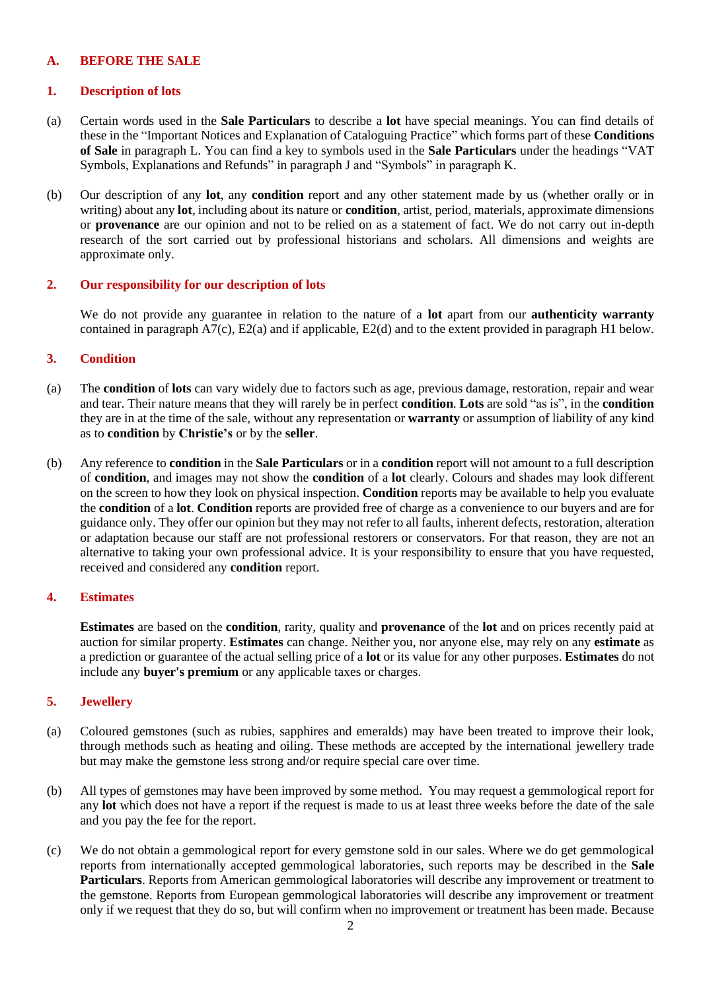## **A. BEFORE THE SALE**

### **1. Description of lots**

- (a) Certain words used in the **Sale Particulars** to describe a **lot** have special meanings. You can find details of these in the "Important Notices and Explanation of Cataloguing Practice" which forms part of these **Conditions of Sale** in paragraph L. You can find a key to symbols used in the **Sale Particulars** under the headings "VAT Symbols, Explanations and Refunds" in paragraph J and "Symbols" in paragraph K.
- (b) Our description of any **lot**, any **condition** report and any other statement made by us (whether orally or in writing) about any **lot**, including about its nature or **condition**, artist, period, materials, approximate dimensions or **provenance** are our opinion and not to be relied on as a statement of fact. We do not carry out in-depth research of the sort carried out by professional historians and scholars. All dimensions and weights are approximate only.

## **2. Our responsibility for our description of lots**

We do not provide any guarantee in relation to the nature of a **lot** apart from our **authenticity warranty** contained in paragraph A7(c), E2(a) and if applicable, E2(d) and to the extent provided in paragraph H1 below.

## **3. Condition**

- (a) The **condition** of **lots** can vary widely due to factors such as age, previous damage, restoration, repair and wear and tear. Their nature means that they will rarely be in perfect **condition**. **Lots** are sold "as is", in the **condition**  they are in at the time of the sale, without any representation or **warranty** or assumption of liability of any kind as to **condition** by **Christie's** or by the **seller**.
- (b) Any reference to **condition** in the **Sale Particulars** or in a **condition** report will not amount to a full description of **condition**, and images may not show the **condition** of a **lot** clearly. Colours and shades may look different on the screen to how they look on physical inspection. **Condition** reports may be available to help you evaluate the **condition** of a **lot**. **Condition** reports are provided free of charge as a convenience to our buyers and are for guidance only. They offer our opinion but they may not refer to all faults, inherent defects, restoration, alteration or adaptation because our staff are not professional restorers or conservators. For that reason, they are not an alternative to taking your own professional advice. It is your responsibility to ensure that you have requested, received and considered any **condition** report.

#### **4. Estimates**

**Estimates** are based on the **condition**, rarity, quality and **provenance** of the **lot** and on prices recently paid at auction for similar property. **Estimates** can change. Neither you, nor anyone else, may rely on any **estimate** as a prediction or guarantee of the actual selling price of a **lot** or its value for any other purposes. **Estimates** do not include any **buyer's premium** or any applicable taxes or charges.

## **5. Jewellery**

- (a) Coloured gemstones (such as rubies, sapphires and emeralds) may have been treated to improve their look, through methods such as heating and oiling. These methods are accepted by the international jewellery trade but may make the gemstone less strong and/or require special care over time.
- (b) All types of gemstones may have been improved by some method. You may request a gemmological report for any **lot** which does not have a report if the request is made to us at least three weeks before the date of the sale and you pay the fee for the report.
- (c) We do not obtain a gemmological report for every gemstone sold in our sales. Where we do get gemmological reports from internationally accepted gemmological laboratories, such reports may be described in the **Sale Particulars**. Reports from American gemmological laboratories will describe any improvement or treatment to the gemstone. Reports from European gemmological laboratories will describe any improvement or treatment only if we request that they do so, but will confirm when no improvement or treatment has been made. Because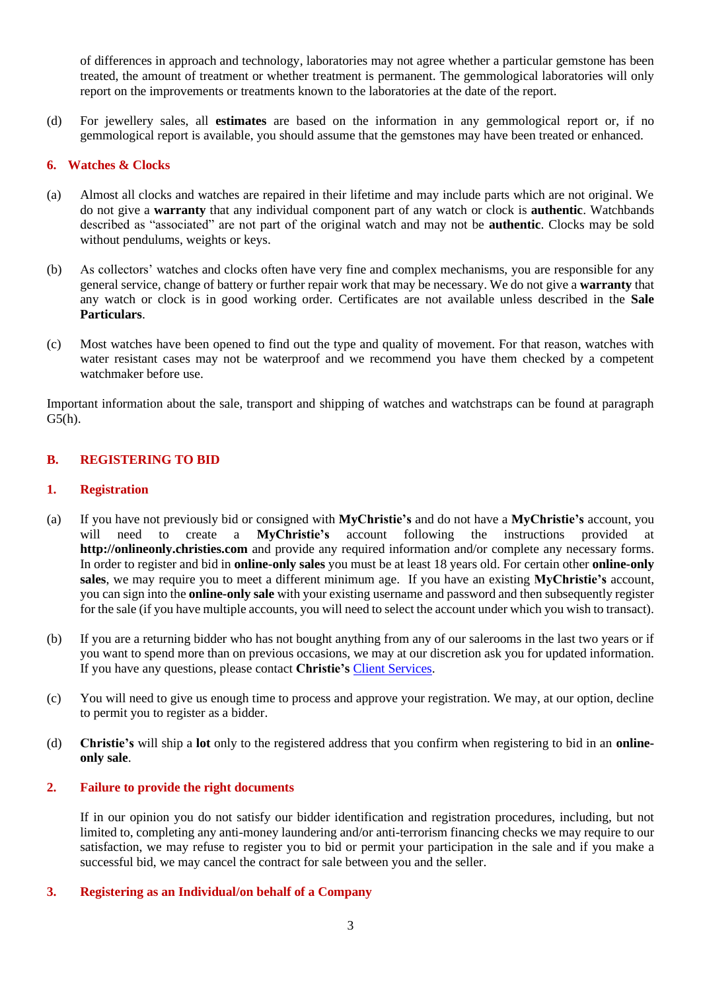of differences in approach and technology, laboratories may not agree whether a particular gemstone has been treated, the amount of treatment or whether treatment is permanent. The gemmological laboratories will only report on the improvements or treatments known to the laboratories at the date of the report.

(d) For jewellery sales, all **estimates** are based on the information in any gemmological report or, if no gemmological report is available, you should assume that the gemstones may have been treated or enhanced.

### **6. Watches & Clocks**

- (a) Almost all clocks and watches are repaired in their lifetime and may include parts which are not original. We do not give a **warranty** that any individual component part of any watch or clock is **authentic**. Watchbands described as "associated" are not part of the original watch and may not be **authentic**. Clocks may be sold without pendulums, weights or keys.
- (b) As collectors' watches and clocks often have very fine and complex mechanisms, you are responsible for any general service, change of battery or further repair work that may be necessary. We do not give a **warranty** that any watch or clock is in good working order. Certificates are not available unless described in the **Sale Particulars**.
- (c) Most watches have been opened to find out the type and quality of movement. For that reason, watches with water resistant cases may not be waterproof and we recommend you have them checked by a competent watchmaker before use.

Important information about the sale, transport and shipping of watches and watchstraps can be found at paragraph G5(h).

## **B. REGISTERING TO BID**

#### **1. Registration**

- (a) If you have not previously bid or consigned with **MyChristie's** and do not have a **MyChristie's** account, you will need to create a **MyChristie's** account following the instructions provided at **[http://onlineonly.christies.com](http://www.onlineonly.christies.com/)** and provide any required information and/or complete any necessary forms. In order to register and bid in **online-only sales** you must be at least 18 years old. For certain other **online-only sales**, we may require you to meet a different minimum age. If you have an existing **MyChristie's** account, you can sign into the **online-only sale** with your existing username and password and then subsequently register for the sale (if you have multiple accounts, you will need to select the account under which you wish to transact).
- (b) If you are a returning bidder who has not bought anything from any of our salerooms in the last two years or if you want to spend more than on previous occasions, we may at our discretion ask you for updated information. If you have any questions, please contact **Christie's** [Client Services.](http://www.christies.com/about-us/contact/client-services/)
- (c) You will need to give us enough time to process and approve your registration. We may, at our option, decline to permit you to register as a bidder.
- (d) **Christie's** will ship a **lot** only to the registered address that you confirm when registering to bid in an **onlineonly sale**.

#### **2. Failure to provide the right documents**

If in our opinion you do not satisfy our bidder identification and registration procedures, including, but not limited to, completing any anti-money laundering and/or anti-terrorism financing checks we may require to our satisfaction, we may refuse to register you to bid or permit your participation in the sale and if you make a successful bid, we may cancel the contract for sale between you and the seller.

#### **3. Registering as an Individual/on behalf of a Company**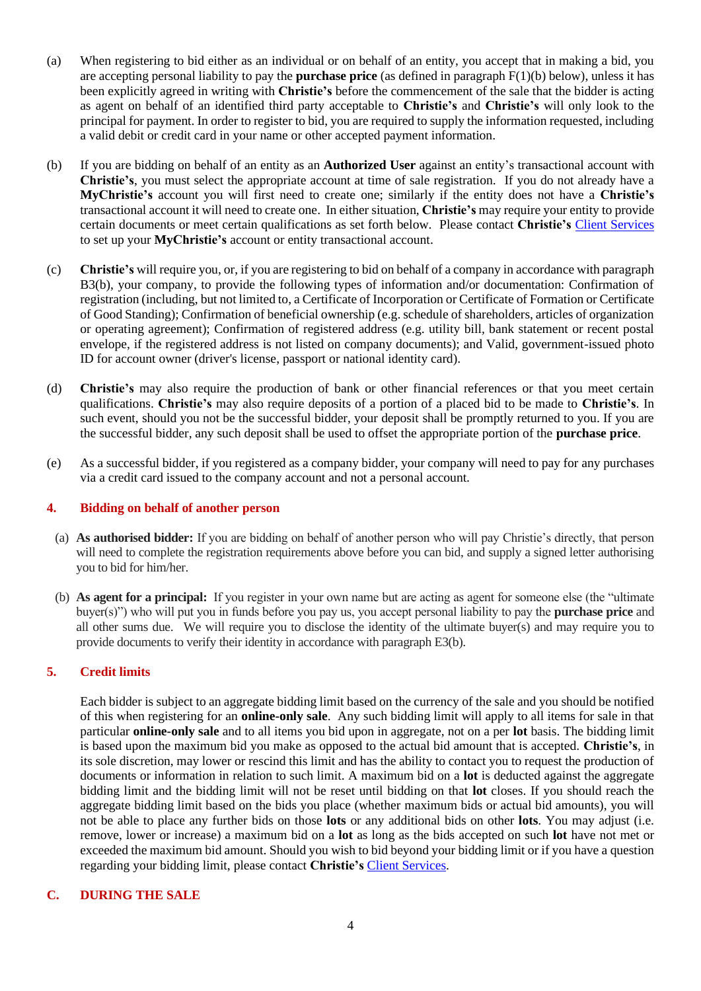- (a) When registering to bid either as an individual or on behalf of an entity, you accept that in making a bid, you are accepting personal liability to pay the **purchase price** (as defined in paragraph F(1)(b) below), unless it has been explicitly agreed in writing with **Christie's** before the commencement of the sale that the bidder is acting as agent on behalf of an identified third party acceptable to **Christie's** and **Christie's** will only look to the principal for payment. In order to register to bid, you are required to supply the information requested, including a valid debit or credit card in your name or other accepted payment information.
- (b) If you are bidding on behalf of an entity as an **Authorized User** against an entity's transactional account with **Christie's**, you must select the appropriate account at time of sale registration. If you do not already have a **MyChristie's** account you will first need to create one; similarly if the entity does not have a **Christie's** transactional account it will need to create one. In either situation, **Christie's** may require your entity to provide certain documents or meet certain qualifications as set forth below. Please contact **Christie's** [Client Services](http://www.christies.com/about-us/contact/client-services/) to set up your **MyChristie's** account or entity transactional account.
- (c) **Christie's** will require you, or, if you are registering to bid on behalf of a company in accordance with paragraph B3(b), your company, to provide the following types of information and/or documentation: Confirmation of registration (including, but not limited to, a Certificate of Incorporation or Certificate of Formation or Certificate of Good Standing); Confirmation of beneficial ownership (e.g. schedule of shareholders, articles of organization or operating agreement); Confirmation of registered address (e.g. utility bill, bank statement or recent postal envelope, if the registered address is not listed on company documents); and Valid, government-issued photo ID for account owner (driver's license, passport or national identity card).
- (d) **Christie's** may also require the production of bank or other financial references or that you meet certain qualifications. **Christie's** may also require deposits of a portion of a placed bid to be made to **Christie's**. In such event, should you not be the successful bidder, your deposit shall be promptly returned to you. If you are the successful bidder, any such deposit shall be used to offset the appropriate portion of the **purchase price**.
- (e) As a successful bidder, if you registered as a company bidder, your company will need to pay for any purchases via a credit card issued to the company account and not a personal account.

#### **4. Bidding on behalf of another person**

- (a) **As authorised bidder:** If you are bidding on behalf of another person who will pay Christie's directly, that person will need to complete the registration requirements above before you can bid, and supply a signed letter authorising you to bid for him/her.
- (b) **As agent for a principal:** If you register in your own name but are acting as agent for someone else (the "ultimate buyer(s)") who will put you in funds before you pay us, you accept personal liability to pay the **purchase price** and all other sums due. We will require you to disclose the identity of the ultimate buyer(s) and may require you to provide documents to verify their identity in accordance with paragraph E3(b).

## **5. Credit limits**

Each bidder is subject to an aggregate bidding limit based on the currency of the sale and you should be notified of this when registering for an **online-only sale**. Any such bidding limit will apply to all items for sale in that particular **online-only sale** and to all items you bid upon in aggregate, not on a per **lot** basis. The bidding limit is based upon the maximum bid you make as opposed to the actual bid amount that is accepted. **Christie's**, in its sole discretion, may lower or rescind this limit and has the ability to contact you to request the production of documents or information in relation to such limit. A maximum bid on a **lot** is deducted against the aggregate bidding limit and the bidding limit will not be reset until bidding on that **lot** closes. If you should reach the aggregate bidding limit based on the bids you place (whether maximum bids or actual bid amounts), you will not be able to place any further bids on those **lots** or any additional bids on other **lots**. You may adjust (i.e. remove, lower or increase) a maximum bid on a **lot** as long as the bids accepted on such **lot** have not met or exceeded the maximum bid amount. Should you wish to bid beyond your bidding limit or if you have a question regarding your bidding limit, please contact **Christie's** [Client Services.](http://www.christies.com/about-us/contact/client-services/)

## **C. DURING THE SALE**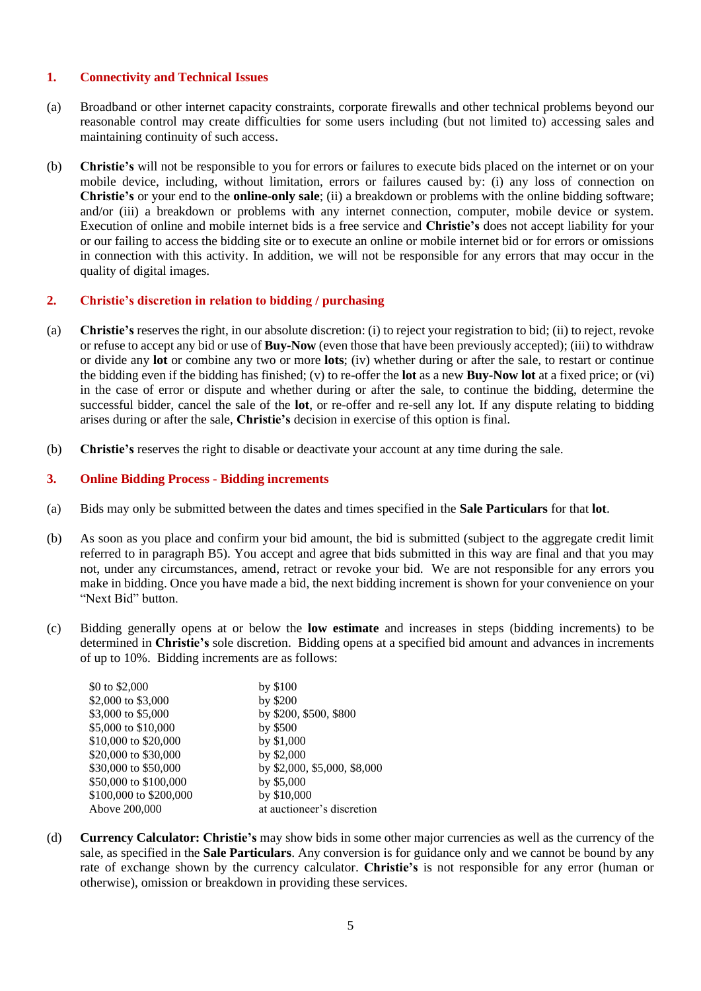#### **1. Connectivity and Technical Issues**

- (a) Broadband or other internet capacity constraints, corporate firewalls and other technical problems beyond our reasonable control may create difficulties for some users including (but not limited to) accessing sales and maintaining continuity of such access.
- (b) **Christie's** will not be responsible to you for errors or failures to execute bids placed on the internet or on your mobile device, including, without limitation, errors or failures caused by: (i) any loss of connection on **Christie's** or your end to the **online-only sale**; (ii) a breakdown or problems with the online bidding software; and/or (iii) a breakdown or problems with any internet connection, computer, mobile device or system. Execution of online and mobile internet bids is a free service and **Christie's** does not accept liability for your or our failing to access the bidding site or to execute an online or mobile internet bid or for errors or omissions in connection with this activity. In addition, we will not be responsible for any errors that may occur in the quality of digital images.

## **2. Christie's discretion in relation to bidding / purchasing**

- (a) **Christie's** reserves the right, in our absolute discretion: (i) to reject your registration to bid; (ii) to reject, revoke or refuse to accept any bid or use of **Buy-Now** (even those that have been previously accepted); (iii) to withdraw or divide any **lot** or combine any two or more **lots**; (iv) whether during or after the sale, to restart or continue the bidding even if the bidding has finished; (v) to re-offer the **lot** as a new **Buy-Now lot** at a fixed price; or (vi) in the case of error or dispute and whether during or after the sale, to continue the bidding, determine the successful bidder, cancel the sale of the **lot**, or re-offer and re-sell any lot. If any dispute relating to bidding arises during or after the sale, **Christie's** decision in exercise of this option is final.
- (b) **Christie's** reserves the right to disable or deactivate your account at any time during the sale.

## **3. Online Bidding Process - Bidding increments**

- (a) Bids may only be submitted between the dates and times specified in the **Sale Particulars** for that **lot**.
- (b) As soon as you place and confirm your bid amount, the bid is submitted (subject to the aggregate credit limit referred to in paragraph B5). You accept and agree that bids submitted in this way are final and that you may not, under any circumstances, amend, retract or revoke your bid. We are not responsible for any errors you make in bidding. Once you have made a bid, the next bidding increment is shown for your convenience on your "Next Bid" button.
- (c) Bidding generally opens at or below the **low estimate** and increases in steps (bidding increments) to be determined in **Christie's** sole discretion. Bidding opens at a specified bid amount and advances in increments of up to 10%. Bidding increments are as follows:

| \$0 to \$2,000         | by \$100                     |
|------------------------|------------------------------|
| \$2,000 to \$3,000     | by \$200                     |
| \$3,000 to \$5,000     | by \$200, \$500, \$800       |
| \$5,000 to \$10,000    | by \$500                     |
| \$10,000 to \$20,000   | by \$1,000                   |
| \$20,000 to \$30,000   | by \$2,000                   |
| \$30,000 to \$50,000   | by \$2,000, \$5,000, \$8,000 |
| \$50,000 to \$100,000  | by \$5,000                   |
| \$100,000 to \$200,000 | by \$10,000                  |
| Above 200,000          | at auctioneer's discretion   |
|                        |                              |

(d) **Currency Calculator: Christie's** may show bids in some other major currencies as well as the currency of the sale, as specified in the **Sale Particulars**. Any conversion is for guidance only and we cannot be bound by any rate of exchange shown by the currency calculator. **Christie's** is not responsible for any error (human or otherwise), omission or breakdown in providing these services.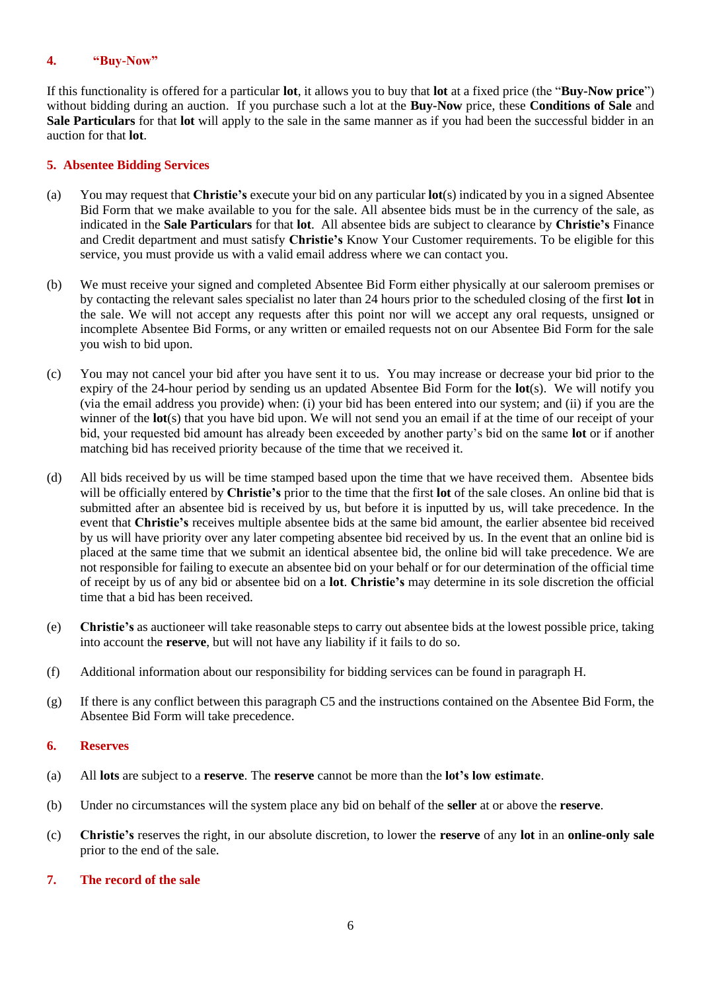## **4. "Buy-Now"**

If this functionality is offered for a particular **lot**, it allows you to buy that **lot** at a fixed price (the "**Buy-Now price**") without bidding during an auction. If you purchase such a lot at the **Buy-Now** price, these **Conditions of Sale** and **Sale Particulars** for that **lot** will apply to the sale in the same manner as if you had been the successful bidder in an auction for that **lot**.

## **5. Absentee Bidding Services**

- (a) You may request that **Christie's** execute your bid on any particular **lot**(s) indicated by you in a signed Absentee Bid Form that we make available to you for the sale. All absentee bids must be in the currency of the sale, as indicated in the **Sale Particulars** for that **lot**. All absentee bids are subject to clearance by **Christie's** Finance and Credit department and must satisfy **Christie's** Know Your Customer requirements. To be eligible for this service, you must provide us with a valid email address where we can contact you.
- (b) We must receive your signed and completed Absentee Bid Form either physically at our saleroom premises or by contacting the relevant sales specialist no later than 24 hours prior to the scheduled closing of the first **lot** in the sale. We will not accept any requests after this point nor will we accept any oral requests, unsigned or incomplete Absentee Bid Forms, or any written or emailed requests not on our Absentee Bid Form for the sale you wish to bid upon.
- (c) You may not cancel your bid after you have sent it to us. You may increase or decrease your bid prior to the expiry of the 24-hour period by sending us an updated Absentee Bid Form for the **lot**(s). We will notify you (via the email address you provide) when: (i) your bid has been entered into our system; and (ii) if you are the winner of the **lot**(s) that you have bid upon. We will not send you an email if at the time of our receipt of your bid, your requested bid amount has already been exceeded by another party's bid on the same **lot** or if another matching bid has received priority because of the time that we received it.
- (d) All bids received by us will be time stamped based upon the time that we have received them. Absentee bids will be officially entered by **Christie's** prior to the time that the first **lot** of the sale closes. An online bid that is submitted after an absentee bid is received by us, but before it is inputted by us, will take precedence. In the event that **Christie's** receives multiple absentee bids at the same bid amount, the earlier absentee bid received by us will have priority over any later competing absentee bid received by us. In the event that an online bid is placed at the same time that we submit an identical absentee bid, the online bid will take precedence. We are not responsible for failing to execute an absentee bid on your behalf or for our determination of the official time of receipt by us of any bid or absentee bid on a **lot**. **Christie's** may determine in its sole discretion the official time that a bid has been received.
- (e) **Christie's** as auctioneer will take reasonable steps to carry out absentee bids at the lowest possible price, taking into account the **reserve**, but will not have any liability if it fails to do so.
- (f) Additional information about our responsibility for bidding services can be found in paragraph H.
- (g) If there is any conflict between this paragraph C5 and the instructions contained on the Absentee Bid Form, the Absentee Bid Form will take precedence.

#### **6. Reserves**

- (a) All **lots** are subject to a **reserve**. The **reserve** cannot be more than the **lot's low estimate**.
- (b) Under no circumstances will the system place any bid on behalf of the **seller** at or above the **reserve**.
- (c) **Christie's** reserves the right, in our absolute discretion, to lower the **reserve** of any **lot** in an **online-only sale**  prior to the end of the sale.

#### **7. The record of the sale**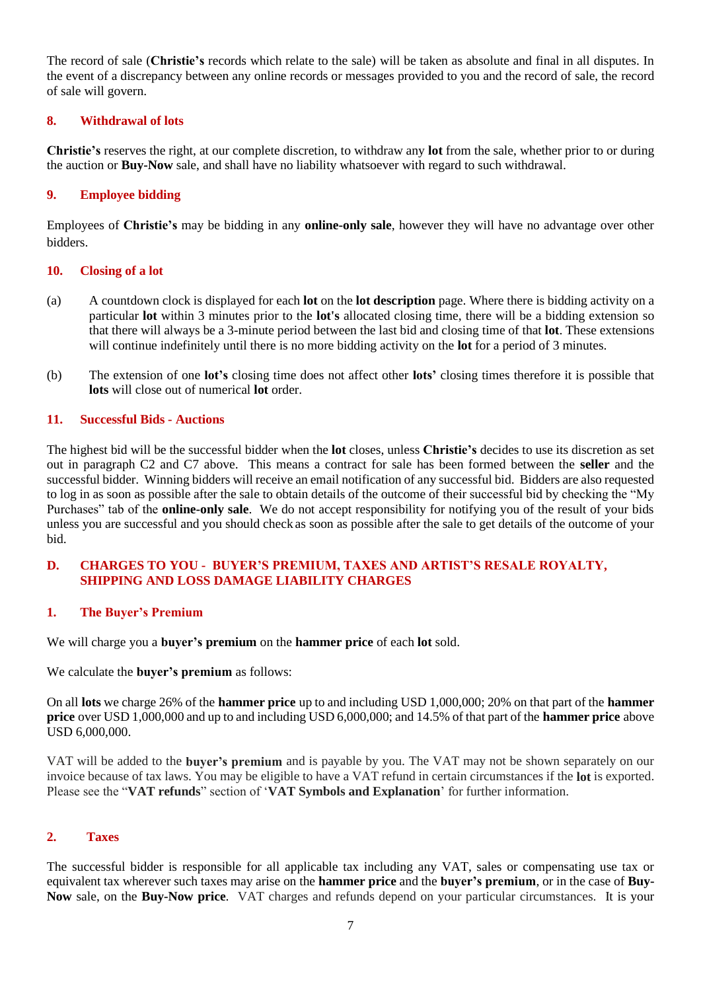The record of sale (**Christie's** records which relate to the sale) will be taken as absolute and final in all disputes. In the event of a discrepancy between any online records or messages provided to you and the record of sale, the record of sale will govern.

## **8. Withdrawal of lots**

**Christie's** reserves the right, at our complete discretion, to withdraw any **lot** from the sale, whether prior to or during the auction or **Buy-Now** sale, and shall have no liability whatsoever with regard to such withdrawal.

## **9. Employee bidding**

Employees of **Christie's** may be bidding in any **online-only sale**, however they will have no advantage over other bidders.

#### **10. Closing of a lot**

- (a) A countdown clock is displayed for each **lot** on the **lot description** page. Where there is bidding activity on a particular **lot** within 3 minutes prior to the **lot's** allocated closing time, there will be a bidding extension so that there will always be a 3-minute period between the last bid and closing time of that **lot**. These extensions will continue indefinitely until there is no more bidding activity on the **lot** for a period of 3 minutes.
- (b) The extension of one **lot's** closing time does not affect other **lots'** closing times therefore it is possible that **lots** will close out of numerical **lot** order.

#### **11. Successful Bids - Auctions**

The highest bid will be the successful bidder when the **lot** closes, unless **Christie's** decides to use its discretion as set out in paragraph C2 and C7 above. This means a contract for sale has been formed between the **seller** and the successful bidder. Winning bidders will receive an email notification of any successful bid. Bidders are also requested to log in as soon as possible after the sale to obtain details of the outcome of their successful bid by checking the "My Purchases" tab of the **online-only sale**. We do not accept responsibility for notifying you of the result of your bids unless you are successful and you should check as soon as possible after the sale to get details of the outcome of your bid.

#### **D. CHARGES TO YOU - BUYER'S PREMIUM, TAXES AND ARTIST'S RESALE ROYALTY, SHIPPING AND LOSS DAMAGE LIABILITY CHARGES**

#### **1. The Buyer's Premium**

We will charge you a **buyer's premium** on the **hammer price** of each **lot** sold.

We calculate the **buyer's premium** as follows:

On all **lots** we charge 26% of the **hammer price** up to and including USD 1,000,000; 20% on that part of the **hammer price** over USD 1,000,000 and up to and including USD 6,000,000; and 14.5% of that part of the **hammer price** above USD 6,000,000.

VAT will be added to the **buyer's premium** and is payable by you. The VAT may not be shown separately on our invoice because of tax laws. You may be eligible to have a VAT refund in certain circumstances if the **lot** is exported. Please see the "**VAT refunds**" section of '**VAT Symbols and Explanation**' for further information.

#### **2. Taxes**

The successful bidder is responsible for all applicable tax including any VAT, sales or compensating use tax or equivalent tax wherever such taxes may arise on the **hammer price** and the **buyer's premium**, or in the case of **Buy-Now** sale, on the **Buy-Now price**. VAT charges and refunds depend on your particular circumstances. It is your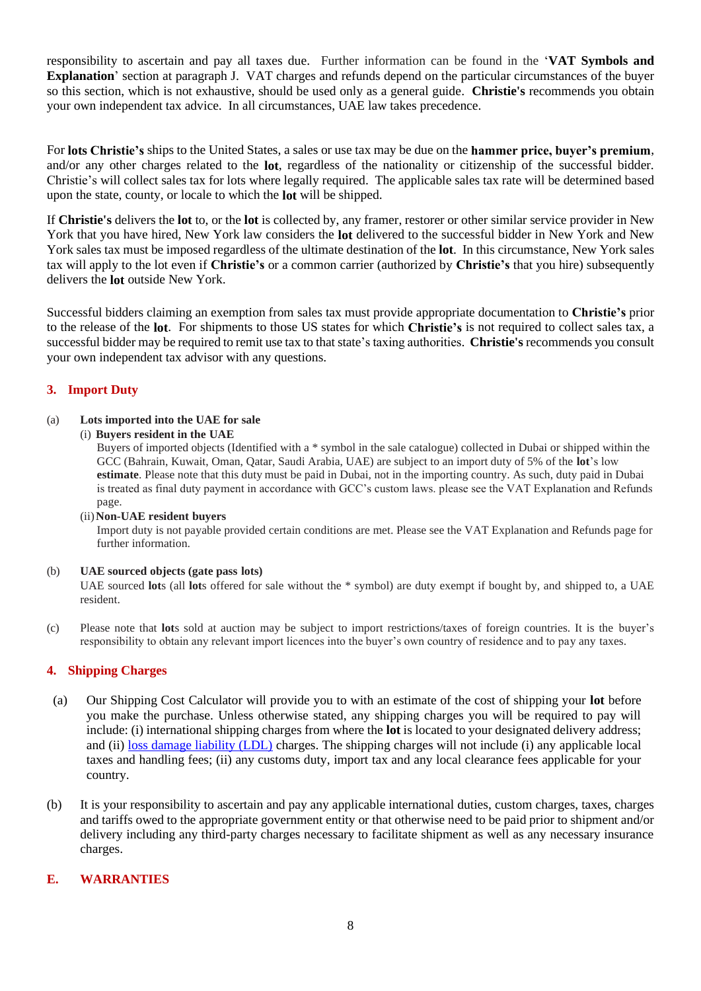responsibility to ascertain and pay all taxes due. Further information can be found in the '**VAT Symbols and Explanation**' section at paragraph J. VAT charges and refunds depend on the particular circumstances of the buyer so this section, which is not exhaustive, should be used only as a general guide. **Christie's** recommends you obtain your own independent tax advice. In all circumstances, UAE law takes precedence.

For **lots Christie's** ships to the United States, a sales or use tax may be due on the **hammer price, buyer's premium**, and/or any other charges related to the **lot**, regardless of the nationality or citizenship of the successful bidder. Christie's will collect sales tax for lots where legally required. The applicable sales tax rate will be determined based upon the state, county, or locale to which the **lot** will be shipped.

If **Christie's** delivers the **lot** to, or the **lot** is collected by, any framer, restorer or other similar service provider in New York that you have hired, New York law considers the **lot** delivered to the successful bidder in New York and New York sales tax must be imposed regardless of the ultimate destination of the **lot**. In this circumstance, New York sales tax will apply to the lot even if **Christie's** or a common carrier (authorized by **Christie's** that you hire) subsequently delivers the **lot** outside New York.

Successful bidders claiming an exemption from sales tax must provide appropriate documentation to **Christie's** prior to the release of the **lot**. For shipments to those US states for which **Christie's** is not required to collect sales tax, a successful bidder may be required to remit use tax to that state's taxing authorities. **Christie's** recommends you consult your own independent tax advisor with any questions.

## **3. Import Duty**

#### (a) **Lots imported into the UAE for sale**

(i) **Buyers resident in the UAE**

Buyers of imported objects (Identified with a \* symbol in the sale catalogue) collected in Dubai or shipped within the GCC (Bahrain, Kuwait, Oman, Qatar, Saudi Arabia, UAE) are subject to an import duty of 5% of the **lot**'s low **estimate**. Please note that this duty must be paid in Dubai, not in the importing country. As such, duty paid in Dubai is treated as final duty payment in accordance with GCC's custom laws. please see the VAT Explanation and Refunds page.

#### (ii)**Non-UAE resident buyers**

Import duty is not payable provided certain conditions are met. Please see the VAT Explanation and Refunds page for further information.

#### (b) **UAE sourced objects (gate pass lots)**

UAE sourced **lot**s (all **lot**s offered for sale without the \* symbol) are duty exempt if bought by, and shipped to, a UAE resident.

(c) Please note that **lot**s sold at auction may be subject to import restrictions/taxes of foreign countries. It is the buyer's responsibility to obtain any relevant import licences into the buyer's own country of residence and to pay any taxes.

#### **4. Shipping Charges**

- (a) Our Shipping Cost Calculator will provide you to with an estimate of the cost of shipping your **lot** before you make the purchase. Unless otherwise stated, any shipping charges you will be required to pay will include: (i) international shipping charges from where the **lot** is located to your designated delivery address; and (ii) [loss damage liability \(LDL\)](http://www.christies.com/selling-services/selling-guide/financial-information/#Liability-Terms-Conditions) charges. The shipping charges will not include (i) any applicable local taxes and handling fees; (ii) any customs duty, import tax and any local clearance fees applicable for your country.
- (b) It is your responsibility to ascertain and pay any applicable international duties, custom charges, taxes, charges and tariffs owed to the appropriate government entity or that otherwise need to be paid prior to shipment and/or delivery including any third-party charges necessary to facilitate shipment as well as any necessary insurance charges.

## **E. WARRANTIES**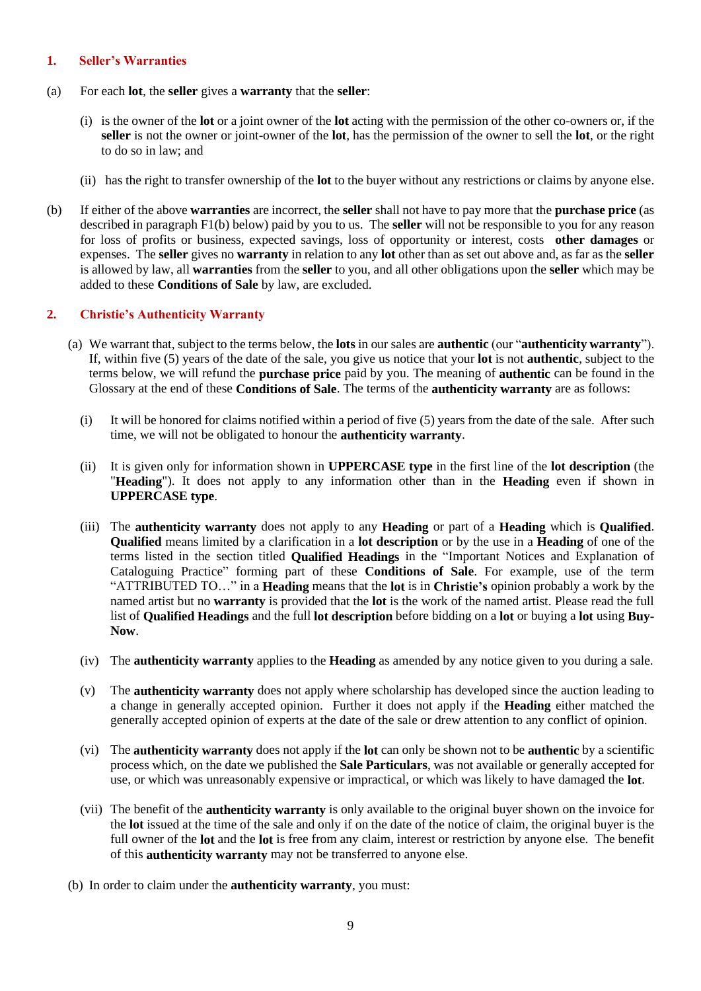### **1. Seller's Warranties**

- (a) For each **lot**, the **seller** gives a **warranty** that the **seller**:
	- (i) is the owner of the **lot** or a joint owner of the **lot** acting with the permission of the other co-owners or, if the **seller** is not the owner or joint-owner of the **lot**, has the permission of the owner to sell the **lot**, or the right to do so in law; and
	- (ii) has the right to transfer ownership of the **lot** to the buyer without any restrictions or claims by anyone else.
- (b) If either of the above **warranties** are incorrect, the **seller** shall not have to pay more that the **purchase price** (as described in paragraph F1(b) below) paid by you to us. The **seller** will not be responsible to you for any reason for loss of profits or business, expected savings, loss of opportunity or interest, costs **other damages** or expenses. The **seller** gives no **warranty** in relation to any **lot** other than as set out above and, as far as the **seller** is allowed by law, all **warranties** from the **seller** to you, and all other obligations upon the **seller** which may be added to these **Conditions of Sale** by law, are excluded.

## **2. Christie's Authenticity Warranty**

- (a) We warrant that, subject to the terms below, the **lots** in our sales are **authentic** (our "**authenticity warranty**"). If, within five (5) years of the date of the sale, you give us notice that your **lot** is not **authentic**, subject to the terms below, we will refund the **purchase price** paid by you. The meaning of **authentic** can be found in the Glossary at the end of these **Conditions of Sale**. The terms of the **authenticity warranty** are as follows:
	- (i) It will be honored for claims notified within a period of five (5) years from the date of the sale. After such time, we will not be obligated to honour the **authenticity warranty**.
	- (ii) It is given only for information shown in **UPPERCASE type** in the first line of the **lot description** (the "**Heading**"). It does not apply to any information other than in the **Heading** even if shown in **UPPERCASE type**.
	- (iii) The **authenticity warranty** does not apply to any **Heading** or part of a **Heading** which is **Qualified**. **Qualified** means limited by a clarification in a **lot description** or by the use in a **Heading** of one of the terms listed in the section titled **Qualified Headings** in the "Important Notices and Explanation of Cataloguing Practice" forming part of these **Conditions of Sale**. For example, use of the term "ATTRIBUTED TO…" in a **Heading** means that the **lot** is in **Christie's** opinion probably a work by the named artist but no **warranty** is provided that the **lot** is the work of the named artist. Please read the full list of **Qualified Headings** and the full **lot description** before bidding on a **lot** or buying a **lot** using **Buy-Now**.
	- (iv) The **authenticity warranty** applies to the **Heading** as amended by any notice given to you during a sale.
	- (v) The **authenticity warranty** does not apply where scholarship has developed since the auction leading to a change in generally accepted opinion. Further it does not apply if the **Heading** either matched the generally accepted opinion of experts at the date of the sale or drew attention to any conflict of opinion.
	- (vi) The **authenticity warranty** does not apply if the **lot** can only be shown not to be **authentic** by a scientific process which, on the date we published the **Sale Particulars**, was not available or generally accepted for use, or which was unreasonably expensive or impractical, or which was likely to have damaged the **lot**.
	- (vii) The benefit of the **authenticity warranty** is only available to the original buyer shown on the invoice for the **lot** issued at the time of the sale and only if on the date of the notice of claim, the original buyer is the full owner of the **lot** and the **lot** is free from any claim, interest or restriction by anyone else. The benefit of this **authenticity warranty** may not be transferred to anyone else.
- (b) In order to claim under the **authenticity warranty**, you must: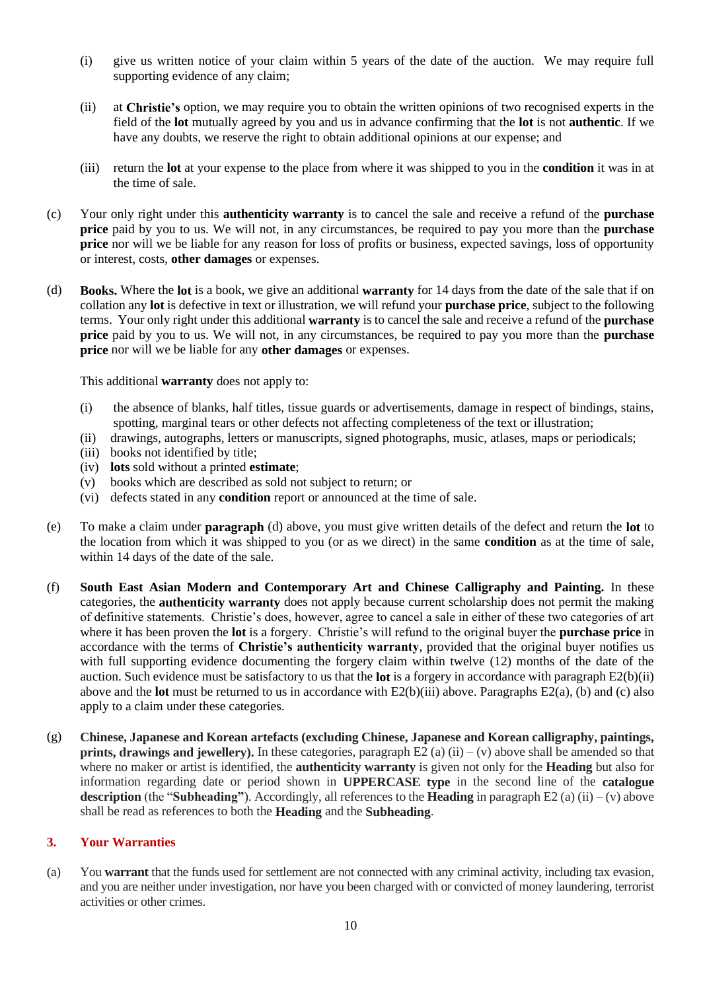- (i) give us written notice of your claim within 5 years of the date of the auction. We may require full supporting evidence of any claim;
- (ii) at **Christie's** option, we may require you to obtain the written opinions of two recognised experts in the field of the **lot** mutually agreed by you and us in advance confirming that the **lot** is not **authentic**. If we have any doubts, we reserve the right to obtain additional opinions at our expense; and
- (iii) return the **lot** at your expense to the place from where it was shipped to you in the **condition** it was in at the time of sale.
- (c) Your only right under this **authenticity warranty** is to cancel the sale and receive a refund of the **purchase price** paid by you to us. We will not, in any circumstances, be required to pay you more than the **purchase price** nor will we be liable for any reason for loss of profits or business, expected savings, loss of opportunity or interest, costs, **other damages** or expenses.
- (d) **Books.** Where the **lot** is a book, we give an additional **warranty** for 14 days from the date of the sale that if on collation any **lot** is defective in text or illustration, we will refund your **purchase price**, subject to the following terms. Your only right under this additional **warranty** is to cancel the sale and receive a refund of the **purchase price** paid by you to us. We will not, in any circumstances, be required to pay you more than the **purchase price** nor will we be liable for any **other damages** or expenses.

This additional **warranty** does not apply to:

- (i) the absence of blanks, half titles, tissue guards or advertisements, damage in respect of bindings, stains, spotting, marginal tears or other defects not affecting completeness of the text or illustration;
- (ii) drawings, autographs, letters or manuscripts, signed photographs, music, atlases, maps or periodicals;
- (iii) books not identified by title;
- (iv) **lots** sold without a printed **estimate**;
- (v) books which are described as sold not subject to return; or
- (vi) defects stated in any **condition** report or announced at the time of sale.
- (e) To make a claim under **paragraph** (d) above, you must give written details of the defect and return the **lot** to the location from which it was shipped to you (or as we direct) in the same **condition** as at the time of sale, within 14 days of the date of the sale.
- (f) **South East Asian Modern and Contemporary Art and Chinese Calligraphy and Painting.** In these categories, the **authenticity warranty** does not apply because current scholarship does not permit the making of definitive statements. Christie's does, however, agree to cancel a sale in either of these two categories of art where it has been proven the **lot** is a forgery. Christie's will refund to the original buyer the **purchase price** in accordance with the terms of **Christie's authenticity warranty**, provided that the original buyer notifies us with full supporting evidence documenting the forgery claim within twelve (12) months of the date of the auction. Such evidence must be satisfactory to us that the **lot** is a forgery in accordance with paragraph E2(b)(ii) above and the **lot** must be returned to us in accordance with E2(b)(iii) above. Paragraphs E2(a), (b) and (c) also apply to a claim under these categories.
- (g) **Chinese, Japanese and Korean artefacts (excluding Chinese, Japanese and Korean calligraphy, paintings, prints, drawings and jewellery).** In these categories, paragraph  $E2$  (a) (ii) – (v) above shall be amended so that where no maker or artist is identified, the **authenticity warranty** is given not only for the **Heading** but also for information regarding date or period shown in **UPPERCASE type** in the second line of the **catalogue description** (the "**Subheading**"). Accordingly, all references to the **Heading** in paragraph E2 (a) (ii) – (v) above shall be read as references to both the **Heading** and the **Subheading**.

## **3. Your Warranties**

(a) You **warrant** that the funds used for settlement are not connected with any criminal activity, including tax evasion, and you are neither under investigation, nor have you been charged with or convicted of money laundering, terrorist activities or other crimes.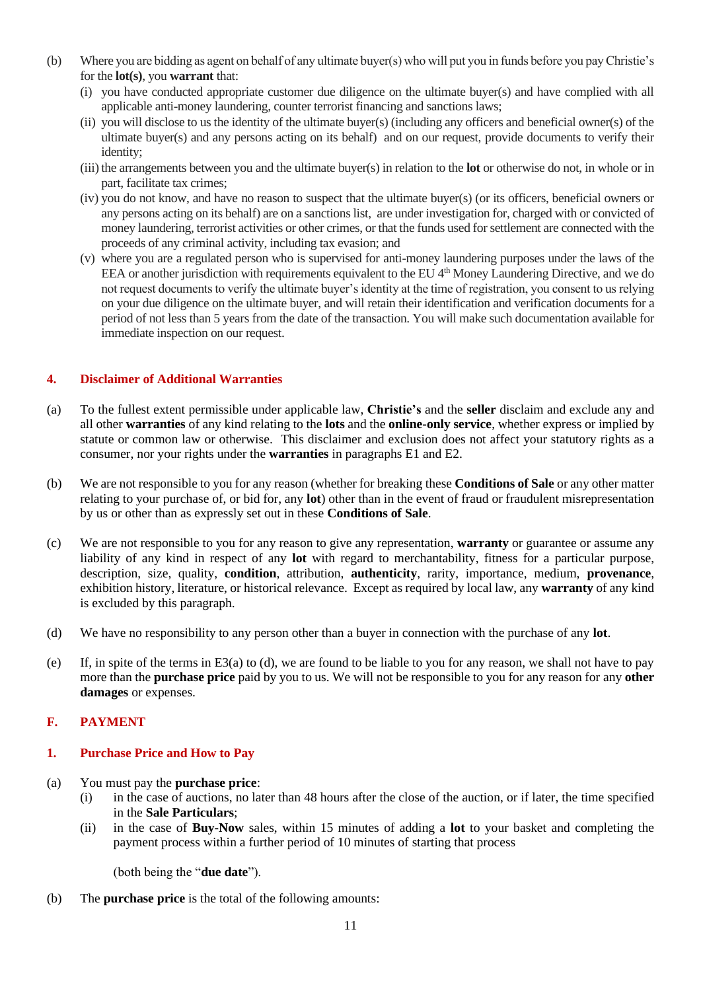- (b) Where you are bidding as agent on behalf of any ultimate buyer(s) who will put you in funds before you pay Christie's for the **lot(s)**, you **warrant** that:
	- (i) you have conducted appropriate customer due diligence on the ultimate buyer(s) and have complied with all applicable anti-money laundering, counter terrorist financing and sanctions laws;
	- (ii) you will disclose to us the identity of the ultimate buyer(s) (including any officers and beneficial owner(s) of the ultimate buyer(s) and any persons acting on its behalf) and on our request, provide documents to verify their identity;
	- (iii) the arrangements between you and the ultimate buyer(s) in relation to the **lot** or otherwise do not, in whole or in part, facilitate tax crimes;
	- (iv) you do not know, and have no reason to suspect that the ultimate buyer(s) (or its officers, beneficial owners or any persons acting on its behalf) are on a sanctions list, are under investigation for, charged with or convicted of money laundering, terrorist activities or other crimes, or that the funds used for settlement are connected with the proceeds of any criminal activity, including tax evasion; and
	- (v) where you are a regulated person who is supervised for anti-money laundering purposes under the laws of the EEA or another jurisdiction with requirements equivalent to the EU 4<sup>th</sup> Money Laundering Directive, and we do not request documents to verify the ultimate buyer's identity at the time of registration, you consent to us relying on your due diligence on the ultimate buyer, and will retain their identification and verification documents for a period of not less than 5 years from the date of the transaction. You will make such documentation available for immediate inspection on our request.

## **4. Disclaimer of Additional Warranties**

- (a) To the fullest extent permissible under applicable law, **Christie's** and the **seller** disclaim and exclude any and all other **warranties** of any kind relating to the **lots** and the **online-only service**, whether express or implied by statute or common law or otherwise. This disclaimer and exclusion does not affect your statutory rights as a consumer, nor your rights under the **warranties** in paragraphs E1 and E2.
- (b) We are not responsible to you for any reason (whether for breaking these **Conditions of Sale** or any other matter relating to your purchase of, or bid for, any **lot**) other than in the event of fraud or fraudulent misrepresentation by us or other than as expressly set out in these **Conditions of Sale**.
- (c) We are not responsible to you for any reason to give any representation, **warranty** or guarantee or assume any liability of any kind in respect of any **lot** with regard to merchantability, fitness for a particular purpose, description, size, quality, **condition**, attribution, **authenticity**, rarity, importance, medium, **provenance**, exhibition history, literature, or historical relevance. Except as required by local law, any **warranty** of any kind is excluded by this paragraph.
- (d) We have no responsibility to any person other than a buyer in connection with the purchase of any **lot**.
- (e) If, in spite of the terms in E3(a) to (d), we are found to be liable to you for any reason, we shall not have to pay more than the **purchase price** paid by you to us. We will not be responsible to you for any reason for any **other damages** or expenses.

# **F. PAYMENT**

## **1. Purchase Price and How to Pay**

- (a) You must pay the **purchase price**:
	- (i) in the case of auctions, no later than 48 hours after the close of the auction, or if later, the time specified in the **Sale Particulars**;
	- (ii) in the case of **Buy-Now** sales, within 15 minutes of adding a **lot** to your basket and completing the payment process within a further period of 10 minutes of starting that process

(both being the "**due date**").

(b) The **purchase price** is the total of the following amounts: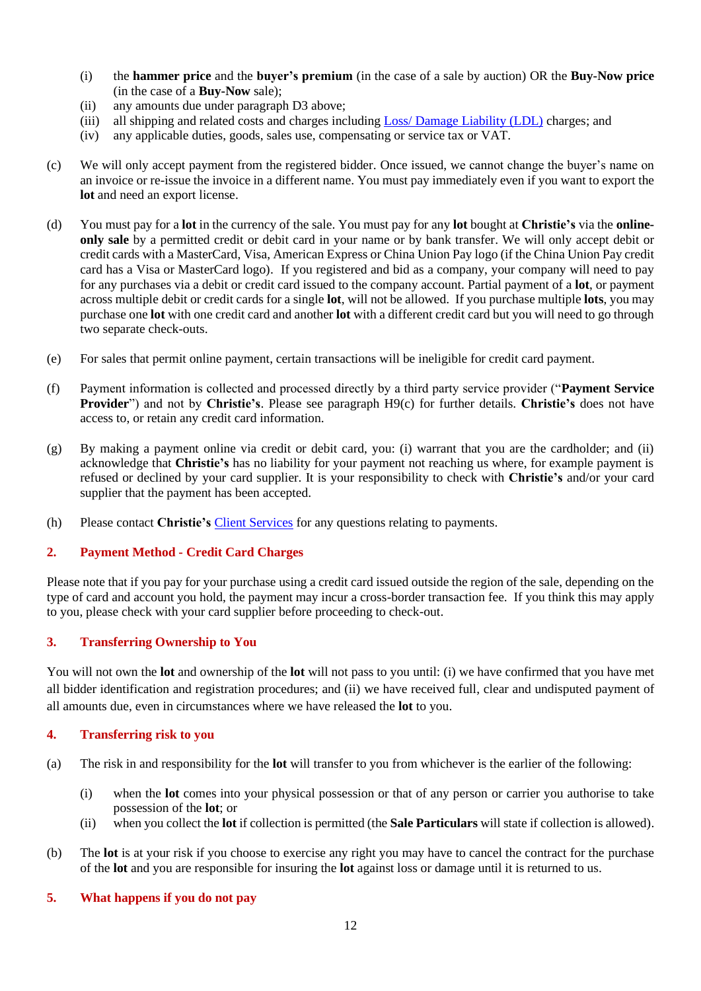- (i) the **hammer price** and the **buyer's premium** (in the case of a sale by auction) OR the **Buy-Now price** (in the case of a **Buy-Now** sale);
- (ii) any amounts due under paragraph D3 above;
- (iii) all shipping and related costs and charges including Loss/ Damage [Liability \(LDL\)](http://www.christies.com/selling-services/selling-guide/financial-information/#Liability-Terms-Conditions) charges; and
- (iv) any applicable duties, goods, sales use, compensating or service tax or VAT.
- (c) We will only accept payment from the registered bidder. Once issued, we cannot change the buyer's name on an invoice or re-issue the invoice in a different name. You must pay immediately even if you want to export the **lot** and need an export license.
- (d) You must pay for a **lot** in the currency of the sale. You must pay for any **lot** bought at **Christie's** via the **onlineonly sale** by a permitted credit or debit card in your name or by bank transfer. We will only accept debit or credit cards with a MasterCard, Visa, American Express or China Union Pay logo (if the China Union Pay credit card has a Visa or MasterCard logo). If you registered and bid as a company, your company will need to pay for any purchases via a debit or credit card issued to the company account. Partial payment of a **lot**, or payment across multiple debit or credit cards for a single **lot**, will not be allowed. If you purchase multiple **lots**, you may purchase one **lot** with one credit card and another **lot** with a different credit card but you will need to go through two separate check-outs.
- (e) For sales that permit online payment, certain transactions will be ineligible for credit card payment.
- (f) Payment information is collected and processed directly by a third party service provider ("**Payment Service Provider**") and not by **Christie's**. Please see paragraph H9(c) for further details. **Christie's** does not have access to, or retain any credit card information.
- (g) By making a payment online via credit or debit card, you: (i) warrant that you are the cardholder; and (ii) acknowledge that **Christie's** has no liability for your payment not reaching us where, for example payment is refused or declined by your card supplier. It is your responsibility to check with **Christie's** and/or your card supplier that the payment has been accepted.
- (h) Please contact **Christie's** [Client Services](http://www.christies.com/about-us/contact/client-services/) for any questions relating to payments.

## **2. Payment Method - Credit Card Charges**

Please note that if you pay for your purchase using a credit card issued outside the region of the sale, depending on the type of card and account you hold, the payment may incur a cross-border transaction fee. If you think this may apply to you, please check with your card supplier before proceeding to check-out.

## **3. Transferring Ownership to You**

You will not own the **lot** and ownership of the **lot** will not pass to you until: (i) we have confirmed that you have met all bidder identification and registration procedures; and (ii) we have received full, clear and undisputed payment of all amounts due, even in circumstances where we have released the **lot** to you.

#### **4. Transferring risk to you**

- (a) The risk in and responsibility for the **lot** will transfer to you from whichever is the earlier of the following:
	- (i) when the **lot** comes into your physical possession or that of any person or carrier you authorise to take possession of the **lot**; or
	- (ii) when you collect the **lot** if collection is permitted (the **Sale Particulars** will state if collection is allowed).
- (b) The **lot** is at your risk if you choose to exercise any right you may have to cancel the contract for the purchase of the **lot** and you are responsible for insuring the **lot** against loss or damage until it is returned to us.

#### **5. What happens if you do not pay**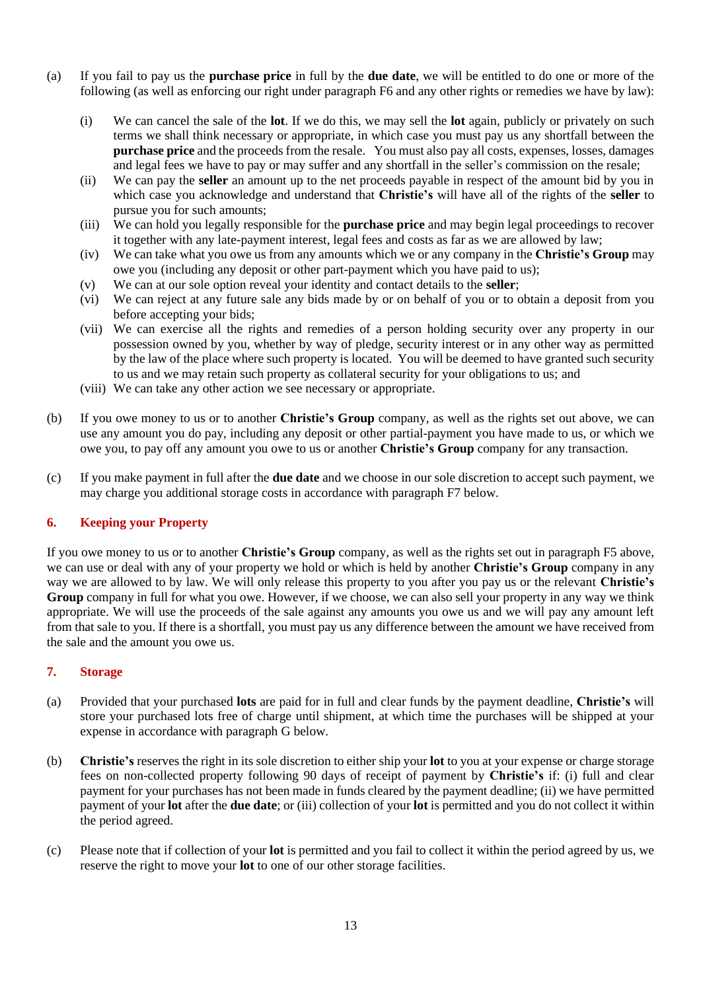- (a) If you fail to pay us the **purchase price** in full by the **due date**, we will be entitled to do one or more of the following (as well as enforcing our right under paragraph F6 and any other rights or remedies we have by law):
	- (i) We can cancel the sale of the **lot**. If we do this, we may sell the **lot** again, publicly or privately on such terms we shall think necessary or appropriate, in which case you must pay us any shortfall between the **purchase price** and the proceeds from the resale. You must also pay all costs, expenses, losses, damages and legal fees we have to pay or may suffer and any shortfall in the seller's commission on the resale;
	- (ii) We can pay the **seller** an amount up to the net proceeds payable in respect of the amount bid by you in which case you acknowledge and understand that **Christie's** will have all of the rights of the **seller** to pursue you for such amounts;
	- (iii) We can hold you legally responsible for the **purchase price** and may begin legal proceedings to recover it together with any late-payment interest, legal fees and costs as far as we are allowed by law;
	- (iv) We can take what you owe us from any amounts which we or any company in the **Christie's Group** may owe you (including any deposit or other part-payment which you have paid to us);
	- (v) We can at our sole option reveal your identity and contact details to the **seller**;
	- (vi) We can reject at any future sale any bids made by or on behalf of you or to obtain a deposit from you before accepting your bids;
	- (vii) We can exercise all the rights and remedies of a person holding security over any property in our possession owned by you, whether by way of pledge, security interest or in any other way as permitted by the law of the place where such property is located. You will be deemed to have granted such security to us and we may retain such property as collateral security for your obligations to us; and
	- (viii) We can take any other action we see necessary or appropriate.
- (b) If you owe money to us or to another **Christie's Group** company, as well as the rights set out above, we can use any amount you do pay, including any deposit or other partial-payment you have made to us, or which we owe you, to pay off any amount you owe to us or another **Christie's Group** company for any transaction.
- (c) If you make payment in full after the **due date** and we choose in our sole discretion to accept such payment, we may charge you additional storage costs in accordance with paragraph F7 below.

## **6. Keeping your Property**

If you owe money to us or to another **Christie's Group** company, as well as the rights set out in paragraph F5 above, we can use or deal with any of your property we hold or which is held by another **Christie's Group** company in any way we are allowed to by law. We will only release this property to you after you pay us or the relevant **Christie's Group** company in full for what you owe. However, if we choose, we can also sell your property in any way we think appropriate. We will use the proceeds of the sale against any amounts you owe us and we will pay any amount left from that sale to you. If there is a shortfall, you must pay us any difference between the amount we have received from the sale and the amount you owe us.

#### **7. Storage**

- (a) Provided that your purchased **lots** are paid for in full and clear funds by the payment deadline, **Christie's** will store your purchased lots free of charge until shipment, at which time the purchases will be shipped at your expense in accordance with paragraph G below.
- (b) **Christie's** reserves the right in its sole discretion to either ship your **lot** to you at your expense or charge storage fees on non-collected property following 90 days of receipt of payment by **Christie's** if: (i) full and clear payment for your purchases has not been made in funds cleared by the payment deadline; (ii) we have permitted payment of your **lot** after the **due date**; or (iii) collection of your **lot** is permitted and you do not collect it within the period agreed.
- (c) Please note that if collection of your **lot** is permitted and you fail to collect it within the period agreed by us, we reserve the right to move your **lot** to one of our other storage facilities.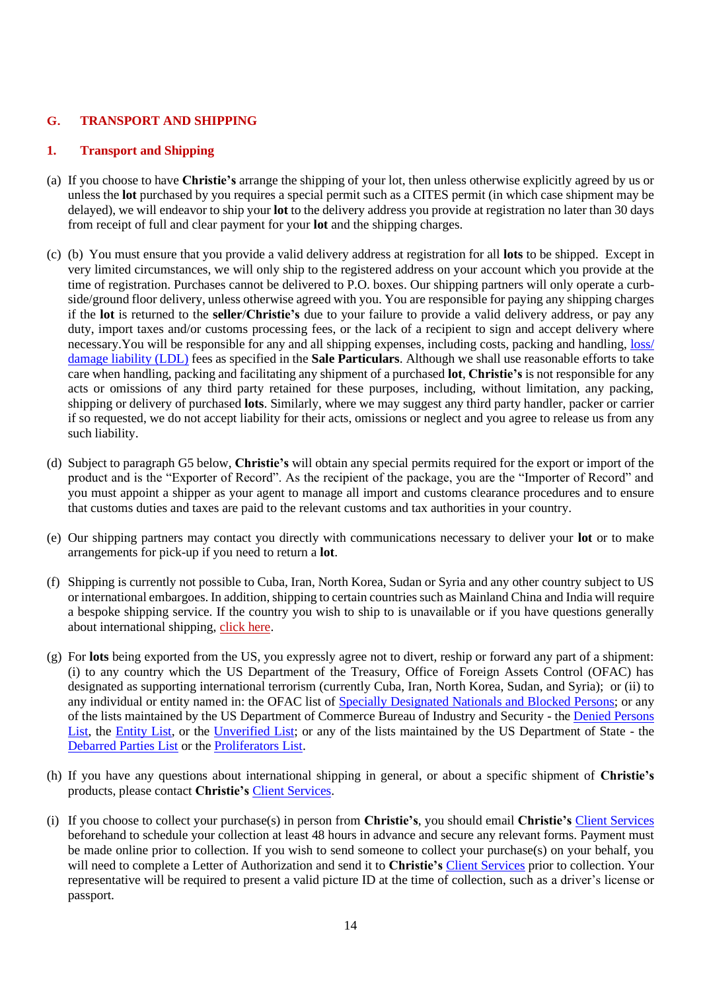## **G. TRANSPORT AND SHIPPING**

## **1. Transport and Shipping**

- (a) If you choose to have **Christie's** arrange the shipping of your lot, then unless otherwise explicitly agreed by us or unless the **lot** purchased by you requires a special permit such as a CITES permit (in which case shipment may be delayed), we will endeavor to ship your **lot** to the delivery address you provide at registration no later than 30 days from receipt of full and clear payment for your **lot** and the shipping charges.
- (c) (b) You must ensure that you provide a valid delivery address at registration for all **lots** to be shipped. Except in very limited circumstances, we will only ship to the registered address on your account which you provide at the time of registration. Purchases cannot be delivered to P.O. boxes. Our shipping partners will only operate a curbside/ground floor delivery, unless otherwise agreed with you. You are responsible for paying any shipping charges if the **lot** is returned to the **seller**/**Christie's** due to your failure to provide a valid delivery address, or pay any duty, import taxes and/or customs processing fees, or the lack of a recipient to sign and accept delivery where necessary.You will be responsible for any and all shipping expenses, including costs, packing and handling, [loss/](http://www.christies.com/selling-services/selling-guide/financial-information/#Liability-Terms-Conditions) [damage liability \(LDL\)](http://www.christies.com/selling-services/selling-guide/financial-information/#Liability-Terms-Conditions) fees as specified in the **Sale Particulars**. Although we shall use reasonable efforts to take care when handling, packing and facilitating any shipment of a purchased **lot**, **Christie's** is not responsible for any acts or omissions of any third party retained for these purposes, including, without limitation, any packing, shipping or delivery of purchased **lots**. Similarly, where we may suggest any third party handler, packer or carrier if so requested, we do not accept liability for their acts, omissions or neglect and you agree to release us from any such liability.
- (d) Subject to paragraph G5 below, **Christie's** will obtain any special permits required for the export or import of the product and is the "Exporter of Record". As the recipient of the package, you are the "Importer of Record" and you must appoint a shipper as your agent to manage all import and customs clearance procedures and to ensure that customs duties and taxes are paid to the relevant customs and tax authorities in your country.
- (e) Our shipping partners may contact you directly with communications necessary to deliver your **lot** or to make arrangements for pick-up if you need to return a **lot**.
- (f) Shipping is currently not possible to Cuba, Iran, North Korea, Sudan or Syria and any other country subject to US or international embargoes. In addition, shipping to certain countries such as Mainland China and India will require a bespoke shipping service. If the country you wish to ship to is unavailable or if you have questions generally about international shipping, [click here.](https://onlineonly.christies.com/contact-us)
- (g) For **lots** being exported from the US, you expressly agree not to divert, reship or forward any part of a shipment: (i) to any country which the US Department of the Treasury, Office of Foreign Assets Control (OFAC) has designated as supporting international terrorism (currently Cuba, Iran, North Korea, Sudan, and Syria); or (ii) to any individual or entity named in: the OFAC list of [Specially Designated Nationals and](http://www.treasury.gov/resource-center/sanctions/SDN-List/Pages/default.aspx) Blocked Persons; or any of the lists maintained by the US Department of Commerce Bureau of Industry and Security - the [Denied Persons](http://www.bis.doc.gov/index.php/the-denied-persons-list)  [List,](http://www.bis.doc.gov/index.php/the-denied-persons-list) the [Entity List,](http://www.bis.doc.gov/index.php/policy-guidance/lists-of-parties-of-concern/entity-list) or the [Unverified List;](http://www.bis.doc.gov/index.php/policy-guidance/lists-of-parties-of-concern/unverified-list) or any of the lists maintained by the US Department of State - the [Debarred Parties List](http://pmddtc.state.gov/compliance/debar.html) or the [Proliferators List.](http://www.treasury.gov/resource-center/sanctions/Programs/Documents/wmd.pdf)
- (h) If you have any questions about international shipping in general, or about a specific shipment of **Christie's** products, please contact **Christie's** [Client Services.](http://www.christies.com/about-us/contact/client-services/)
- (i) If you choose to collect your purchase(s) in person from **Christie's**, you should email **Christie's** [Client Services](http://www.christies.com/about-us/contact/client-services/) beforehand to schedule your collection at least 48 hours in advance and secure any relevant forms. Payment must be made online prior to collection. If you wish to send someone to collect your purchase(s) on your behalf, you will need to complete a Letter of Authorization and send it to **Christie's** [Client Services](http://www.christies.com/about-us/contact/client-services/) prior to collection. Your representative will be required to present a valid picture ID at the time of collection, such as a driver's license or passport.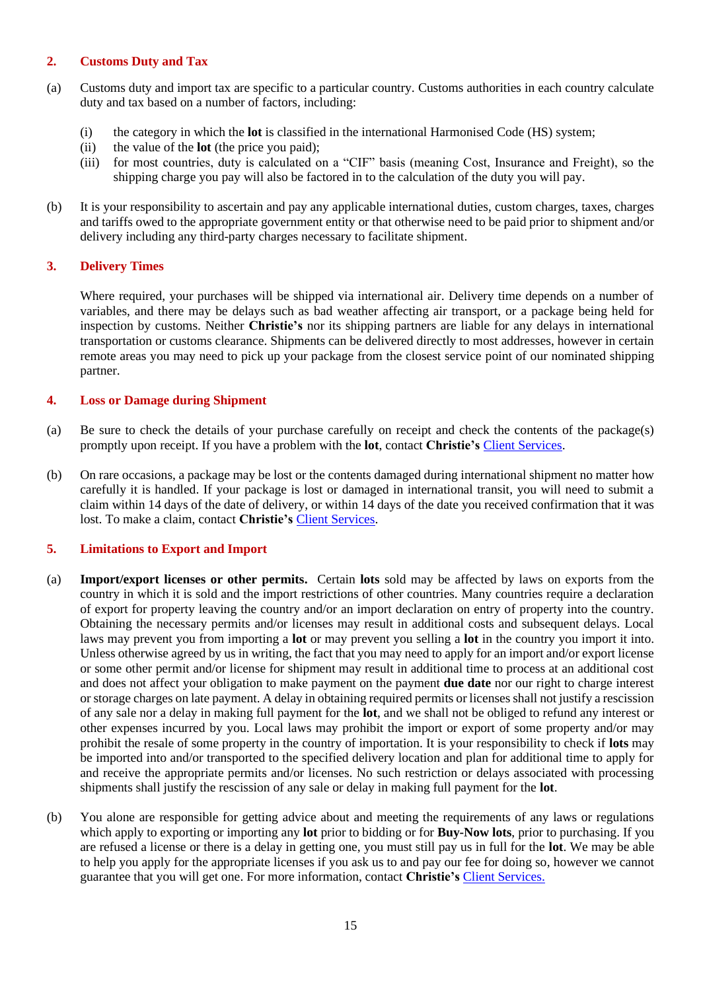### **2. Customs Duty and Tax**

- (a) Customs duty and import tax are specific to a particular country. Customs authorities in each country calculate duty and tax based on a number of factors, including:
	- (i) the category in which the **lot** is classified in the international Harmonised Code (HS) system;
	- (ii) the value of the **lot** (the price you paid);
	- (iii) for most countries, duty is calculated on a "CIF" basis (meaning Cost, Insurance and Freight), so the shipping charge you pay will also be factored in to the calculation of the duty you will pay.
- (b) It is your responsibility to ascertain and pay any applicable international duties, custom charges, taxes, charges and tariffs owed to the appropriate government entity or that otherwise need to be paid prior to shipment and/or delivery including any third-party charges necessary to facilitate shipment.

## **3. Delivery Times**

Where required, your purchases will be shipped via international air. Delivery time depends on a number of variables, and there may be delays such as bad weather affecting air transport, or a package being held for inspection by customs. Neither **Christie's** nor its shipping partners are liable for any delays in international transportation or customs clearance. Shipments can be delivered directly to most addresses, however in certain remote areas you may need to pick up your package from the closest service point of our nominated shipping partner.

## **4. Loss or Damage during Shipment**

- (a) Be sure to check the details of your purchase carefully on receipt and check the contents of the package(s) promptly upon receipt. If you have a problem with the **lot**, contact **Christie's** [Client Services.](http://www.christies.com/about-us/contact/client-services/)
- (b) On rare occasions, a package may be lost or the contents damaged during international shipment no matter how carefully it is handled. If your package is lost or damaged in international transit, you will need to submit a claim within 14 days of the date of delivery, or within 14 days of the date you received confirmation that it was lost. To make a claim, contact **Christie's** [Client Services.](http://www.christies.com/about-us/contact/client-services/)

## **5. Limitations to Export and Import**

- (a) **Import/export licenses or other permits.** Certain **lots** sold may be affected by laws on exports from the country in which it is sold and the import restrictions of other countries. Many countries require a declaration of export for property leaving the country and/or an import declaration on entry of property into the country. Obtaining the necessary permits and/or licenses may result in additional costs and subsequent delays. Local laws may prevent you from importing a **lot** or may prevent you selling a **lot** in the country you import it into. Unless otherwise agreed by us in writing, the fact that you may need to apply for an import and/or export license or some other permit and/or license for shipment may result in additional time to process at an additional cost and does not affect your obligation to make payment on the payment **due date** nor our right to charge interest or storage charges on late payment. A delay in obtaining required permits or licenses shall not justify a rescission of any sale nor a delay in making full payment for the **lot**, and we shall not be obliged to refund any interest or other expenses incurred by you. Local laws may prohibit the import or export of some property and/or may prohibit the resale of some property in the country of importation. It is your responsibility to check if **lots** may be imported into and/or transported to the specified delivery location and plan for additional time to apply for and receive the appropriate permits and/or licenses. No such restriction or delays associated with processing shipments shall justify the rescission of any sale or delay in making full payment for the **lot**.
- (b) You alone are responsible for getting advice about and meeting the requirements of any laws or regulations which apply to exporting or importing any **lot** prior to bidding or for **Buy-Now lots**, prior to purchasing. If you are refused a license or there is a delay in getting one, you must still pay us in full for the **lot**. We may be able to help you apply for the appropriate licenses if you ask us to and pay our fee for doing so, however we cannot guarantee that you will get one. For more information, contact **Christie's** [Client Services.](http://www.christies.com/about-us/contact/client-services/)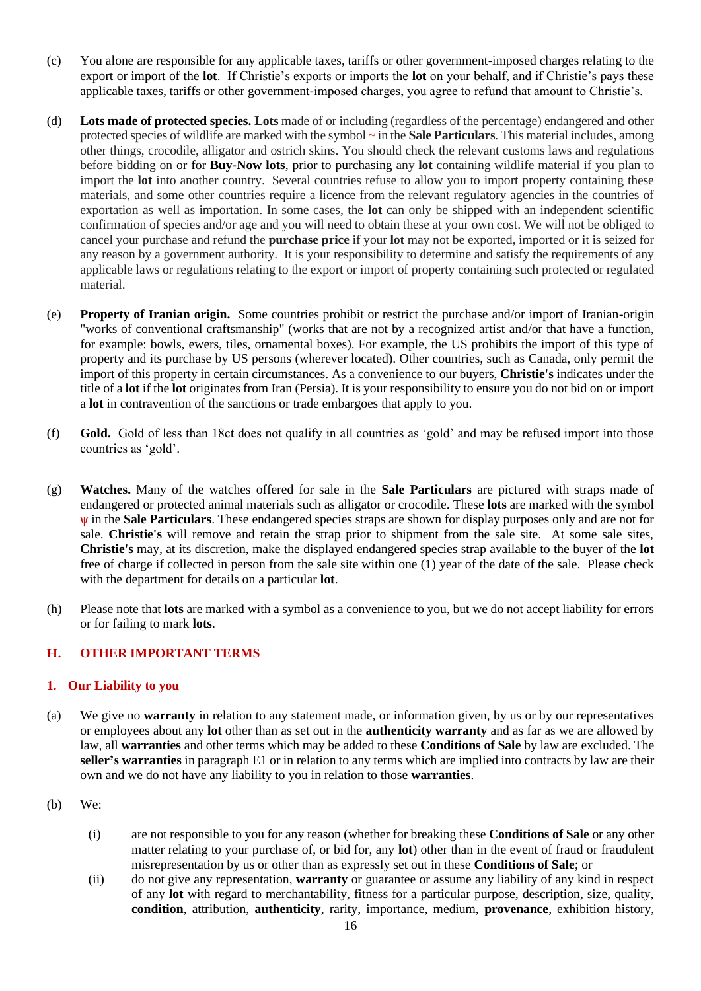- (c) You alone are responsible for any applicable taxes, tariffs or other government-imposed charges relating to the export or import of the **lot**. If Christie's exports or imports the **lot** on your behalf, and if Christie's pays these applicable taxes, tariffs or other government-imposed charges, you agree to refund that amount to Christie's.
- (d) **Lots made of protected species. Lots** made of or including (regardless of the percentage) endangered and other protected species of wildlife are marked with the symbol **~** in the **Sale Particulars**. This material includes, among other things, crocodile, alligator and ostrich skins. You should check the relevant customs laws and regulations before bidding on or for **Buy-Now lots**, prior to purchasing any **lot** containing wildlife material if you plan to import the **lot** into another country. Several countries refuse to allow you to import property containing these materials, and some other countries require a licence from the relevant regulatory agencies in the countries of exportation as well as importation. In some cases, the **lot** can only be shipped with an independent scientific confirmation of species and/or age and you will need to obtain these at your own cost. We will not be obliged to cancel your purchase and refund the **purchase price** if your **lot** may not be exported, imported or it is seized for any reason by a government authority. It is your responsibility to determine and satisfy the requirements of any applicable laws or regulations relating to the export or import of property containing such protected or regulated material.
- (e) **Property of Iranian origin.** Some countries prohibit or restrict the purchase and/or import of Iranian-origin "works of conventional craftsmanship" (works that are not by a recognized artist and/or that have a function, for example: bowls, ewers, tiles, ornamental boxes). For example, the US prohibits the import of this type of property and its purchase by US persons (wherever located). Other countries, such as Canada, only permit the import of this property in certain circumstances. As a convenience to our buyers, **Christie's** indicates under the title of a **lot** if the **lot** originates from Iran (Persia). It is your responsibility to ensure you do not bid on or import a **lot** in contravention of the sanctions or trade embargoes that apply to you.
- (f) **Gold.** Gold of less than 18ct does not qualify in all countries as 'gold' and may be refused import into those countries as 'gold'.
- (g) **Watches.** Many of the watches offered for sale in the **Sale Particulars** are pictured with straps made of endangered or protected animal materials such as alligator or crocodile. These **lots** are marked with the symbol ψ in the **Sale Particulars**. These endangered species straps are shown for display purposes only and are not for sale. **Christie's** will remove and retain the strap prior to shipment from the sale site. At some sale sites, **Christie's** may, at its discretion, make the displayed endangered species strap available to the buyer of the **lot** free of charge if collected in person from the sale site within one (1) year of the date of the sale. Please check with the department for details on a particular **lot**.
- (h) Please note that **lots** are marked with a symbol as a convenience to you, but we do not accept liability for errors or for failing to mark **lots**.

## **H. OTHER IMPORTANT TERMS**

#### **1. Our Liability to you**

- (a) We give no **warranty** in relation to any statement made, or information given, by us or by our representatives or employees about any **lot** other than as set out in the **authenticity warranty** and as far as we are allowed by law, all **warranties** and other terms which may be added to these **Conditions of Sale** by law are excluded. The **seller's warranties** in paragraph E1 or in relation to any terms which are implied into contracts by law are their own and we do not have any liability to you in relation to those **warranties**.
- (b) We:
	- (i) are not responsible to you for any reason (whether for breaking these **Conditions of Sale** or any other matter relating to your purchase of, or bid for, any **lot**) other than in the event of fraud or fraudulent misrepresentation by us or other than as expressly set out in these **Conditions of Sale**; or
	- (ii) do not give any representation, **warranty** or guarantee or assume any liability of any kind in respect of any **lot** with regard to merchantability, fitness for a particular purpose, description, size, quality, **condition**, attribution, **authenticity**, rarity, importance, medium, **provenance**, exhibition history,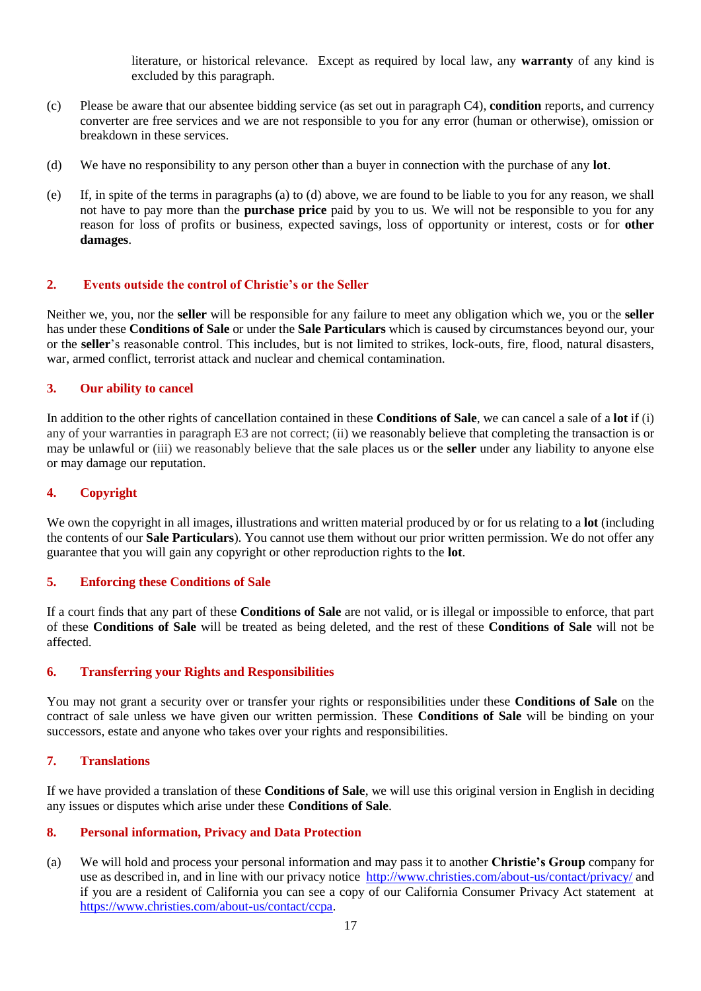literature, or historical relevance. Except as required by local law, any **warranty** of any kind is excluded by this paragraph.

- (c) Please be aware that our absentee bidding service (as set out in paragraph C4), **condition** reports, and currency converter are free services and we are not responsible to you for any error (human or otherwise), omission or breakdown in these services.
- (d) We have no responsibility to any person other than a buyer in connection with the purchase of any **lot**.
- (e) If, in spite of the terms in paragraphs (a) to (d) above, we are found to be liable to you for any reason, we shall not have to pay more than the **purchase price** paid by you to us. We will not be responsible to you for any reason for loss of profits or business, expected savings, loss of opportunity or interest, costs or for **other damages**.

## **2. Events outside the control of Christie's or the Seller**

Neither we, you, nor the **seller** will be responsible for any failure to meet any obligation which we, you or the **seller** has under these **Conditions of Sale** or under the **Sale Particulars** which is caused by circumstances beyond our, your or the **seller**'s reasonable control. This includes, but is not limited to strikes, lock-outs, fire, flood, natural disasters, war, armed conflict, terrorist attack and nuclear and chemical contamination.

## **3. Our ability to cancel**

In addition to the other rights of cancellation contained in these **Conditions of Sale**, we can cancel a sale of a **lot** if (i) any of your warranties in paragraph E3 are not correct; (ii) we reasonably believe that completing the transaction is or may be unlawful or (iii) we reasonably believe that the sale places us or the **seller** under any liability to anyone else or may damage our reputation.

## **4. Copyright**

We own the copyright in all images, illustrations and written material produced by or for us relating to a **lot** (including the contents of our **Sale Particulars**). You cannot use them without our prior written permission. We do not offer any guarantee that you will gain any copyright or other reproduction rights to the **lot**.

#### **5. Enforcing these Conditions of Sale**

If a court finds that any part of these **Conditions of Sale** are not valid, or is illegal or impossible to enforce, that part of these **Conditions of Sale** will be treated as being deleted, and the rest of these **Conditions of Sale** will not be affected.

#### **6. Transferring your Rights and Responsibilities**

You may not grant a security over or transfer your rights or responsibilities under these **Conditions of Sale** on the contract of sale unless we have given our written permission. These **Conditions of Sale** will be binding on your successors, estate and anyone who takes over your rights and responsibilities.

#### **7. Translations**

If we have provided a translation of these **Conditions of Sale**, we will use this original version in English in deciding any issues or disputes which arise under these **Conditions of Sale**.

#### **8. Personal information, Privacy and Data Protection**

(a) We will hold and process your personal information and may pass it to another **Christie's Group** company for use as described in, and in line with our privacy notice <http://www.christies.com/about-us/contact/privacy/> and if you are a resident of California you can see a copy of our California Consumer Privacy Act statement at [https://www.christies.com/about-us/contact/ccpa.](https://www.christies.com/about-us/contact/ccpa)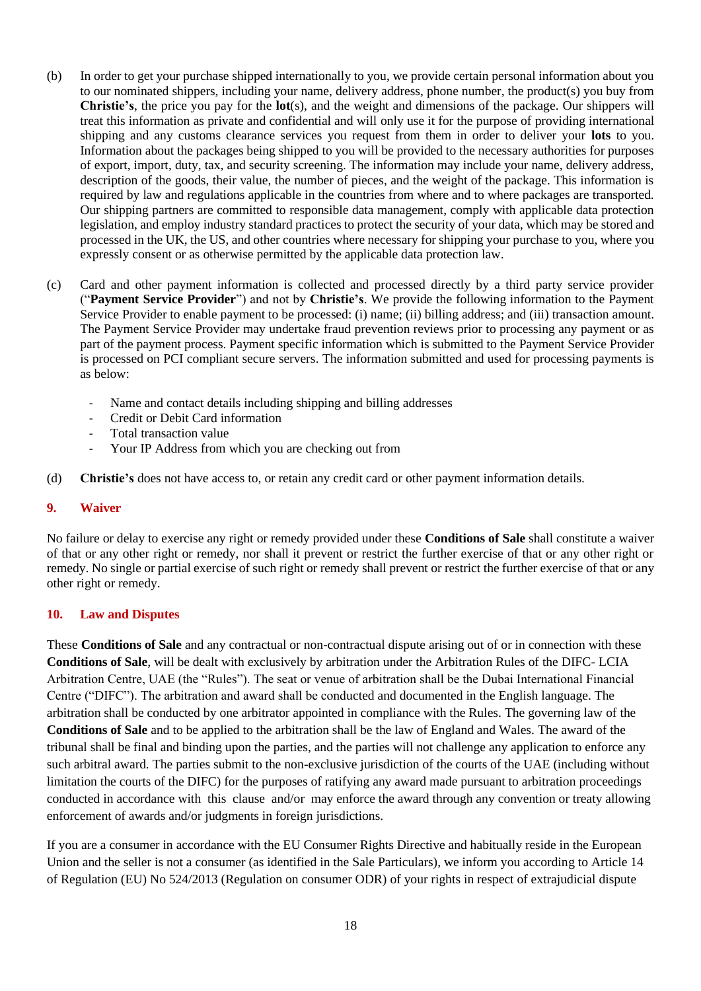- (b) In order to get your purchase shipped internationally to you, we provide certain personal information about you to our nominated shippers, including your name, delivery address, phone number, the product(s) you buy from **Christie's**, the price you pay for the **lot**(s), and the weight and dimensions of the package. Our shippers will treat this information as private and confidential and will only use it for the purpose of providing international shipping and any customs clearance services you request from them in order to deliver your **lots** to you. Information about the packages being shipped to you will be provided to the necessary authorities for purposes of export, import, duty, tax, and security screening. The information may include your name, delivery address, description of the goods, their value, the number of pieces, and the weight of the package. This information is required by law and regulations applicable in the countries from where and to where packages are transported. Our shipping partners are committed to responsible data management, comply with applicable data protection legislation, and employ industry standard practices to protect the security of your data, which may be stored and processed in the UK, the US, and other countries where necessary for shipping your purchase to you, where you expressly consent or as otherwise permitted by the applicable data protection law.
- (c) Card and other payment information is collected and processed directly by a third party service provider ("**Payment Service Provider**") and not by **Christie's**. We provide the following information to the Payment Service Provider to enable payment to be processed: (i) name; (ii) billing address; and (iii) transaction amount. The Payment Service Provider may undertake fraud prevention reviews prior to processing any payment or as part of the payment process. Payment specific information which is submitted to the Payment Service Provider is processed on PCI compliant secure servers. The information submitted and used for processing payments is as below:
	- Name and contact details including shipping and billing addresses
	- Credit or Debit Card information
	- Total transaction value
	- Your IP Address from which you are checking out from
- (d) **Christie's** does not have access to, or retain any credit card or other payment information details.

#### **9. Waiver**

No failure or delay to exercise any right or remedy provided under these **Conditions of Sale** shall constitute a waiver of that or any other right or remedy, nor shall it prevent or restrict the further exercise of that or any other right or remedy. No single or partial exercise of such right or remedy shall prevent or restrict the further exercise of that or any other right or remedy.

#### **10. Law and Disputes**

These **Conditions of Sale** and any contractual or non-contractual dispute arising out of or in connection with these **Conditions of Sale**, will be dealt with exclusively by arbitration under the Arbitration Rules of the DIFC- LCIA Arbitration Centre, UAE (the "Rules"). The seat or venue of arbitration shall be the Dubai International Financial Centre ("DIFC"). The arbitration and award shall be conducted and documented in the English language. The arbitration shall be conducted by one arbitrator appointed in compliance with the Rules. The governing law of the **Conditions of Sale** and to be applied to the arbitration shall be the law of England and Wales. The award of the tribunal shall be final and binding upon the parties, and the parties will not challenge any application to enforce any such arbitral award. The parties submit to the non-exclusive jurisdiction of the courts of the UAE (including without limitation the courts of the DIFC) for the purposes of ratifying any award made pursuant to arbitration proceedings conducted in accordance with this clause and/or may enforce the award through any convention or treaty allowing enforcement of awards and/or judgments in foreign jurisdictions.

If you are a consumer in accordance with the EU Consumer Rights Directive and habitually reside in the European Union and the seller is not a consumer (as identified in the Sale Particulars), we inform you according to Article 14 of Regulation (EU) No 524/2013 (Regulation on consumer ODR) of your rights in respect of extrajudicial dispute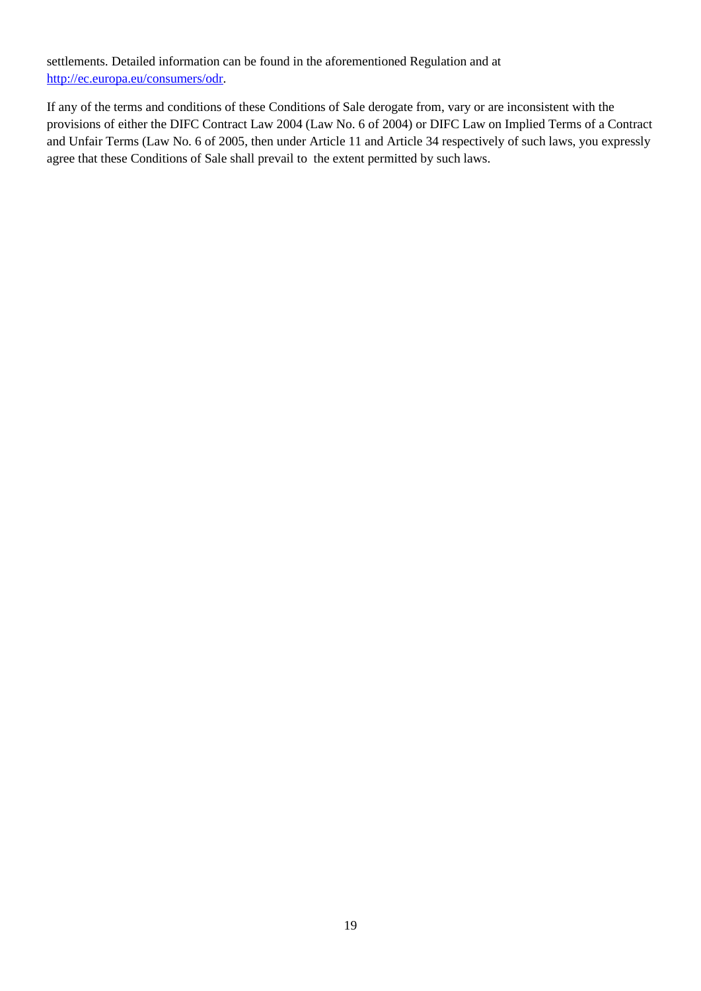settlements. Detailed information can be found in the aforementioned Regulation and at [http://ec.europa.eu/consumers/odr.](http://ec.europa.eu/consumers/odr)

If any of the terms and conditions of these Conditions of Sale derogate from, vary or are inconsistent with the provisions of either the DIFC Contract Law 2004 (Law No. 6 of 2004) or DIFC Law on Implied Terms of a Contract and Unfair Terms (Law No. 6 of 2005, then under Article 11 and Article 34 respectively of such laws, you expressly agree that these Conditions of Sale shall prevail to the extent permitted by such laws.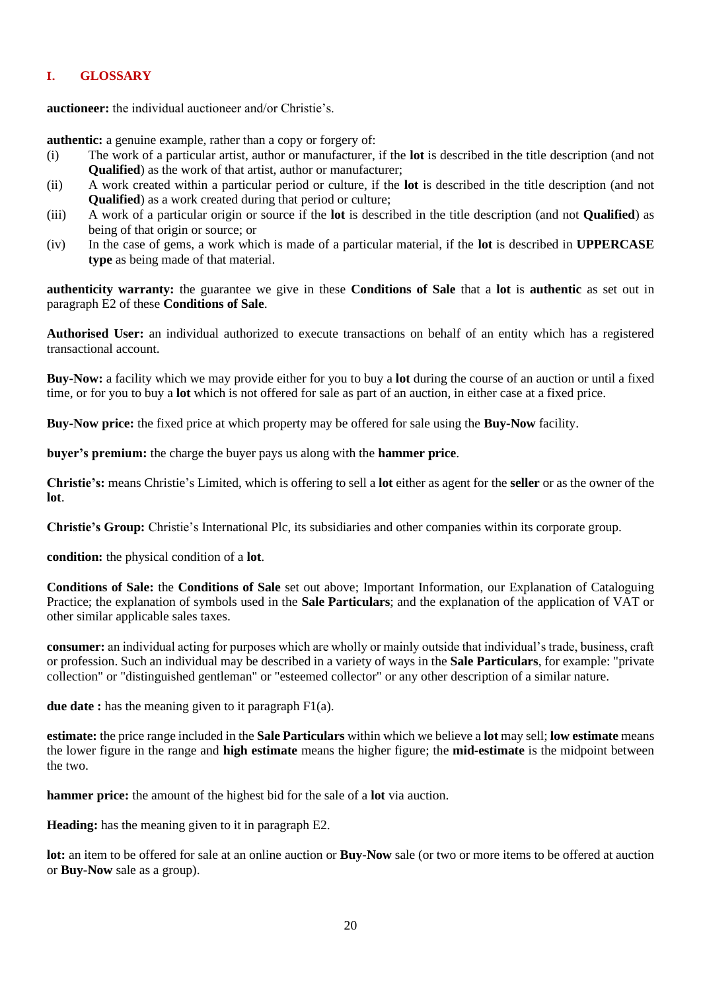## **I. GLOSSARY**

**auctioneer:** the individual auctioneer and/or Christie's.

**authentic:** a genuine example, rather than a copy or forgery of:

- (i) The work of a particular artist, author or manufacturer, if the **lot** is described in the title description (and not **Qualified**) as the work of that artist, author or manufacturer;
- (ii) A work created within a particular period or culture, if the **lot** is described in the title description (and not **Qualified**) as a work created during that period or culture;
- (iii) A work of a particular origin or source if the **lot** is described in the title description (and not **Qualified**) as being of that origin or source; or
- (iv) In the case of gems, a work which is made of a particular material, if the **lot** is described in **UPPERCASE type** as being made of that material.

**authenticity warranty:** the guarantee we give in these **Conditions of Sale** that a **lot** is **authentic** as set out in paragraph E2 of these **Conditions of Sale**.

**Authorised User:** an individual authorized to execute transactions on behalf of an entity which has a registered transactional account.

**Buy-Now:** a facility which we may provide either for you to buy a **lot** during the course of an auction or until a fixed time, or for you to buy a **lot** which is not offered for sale as part of an auction, in either case at a fixed price.

**Buy-Now price:** the fixed price at which property may be offered for sale using the **Buy-Now** facility.

**buyer's premium:** the charge the buyer pays us along with the **hammer price**.

**Christie's:** means Christie's Limited, which is offering to sell a **lot** either as agent for the **seller** or as the owner of the **lot**.

**Christie's Group:** Christie's International Plc, its subsidiaries and other companies within its corporate group.

**condition:** the physical condition of a **lot**.

**Conditions of Sale:** the **Conditions of Sale** set out above; Important Information, our Explanation of Cataloguing Practice; the explanation of symbols used in the **Sale Particulars**; and the explanation of the application of VAT or other similar applicable sales taxes.

**consumer:** an individual acting for purposes which are wholly or mainly outside that individual's trade, business, craft or profession. Such an individual may be described in a variety of ways in the **Sale Particulars**, for example: "private collection" or "distinguished gentleman" or "esteemed collector" or any other description of a similar nature.

**due date :** has the meaning given to it paragraph F1(a).

**estimate:** the price range included in the **Sale Particulars** within which we believe a **lot** may sell; **low estimate** means the lower figure in the range and **high estimate** means the higher figure; the **mid-estimate** is the midpoint between the two.

**hammer price:** the amount of the highest bid for the sale of a **lot** via auction.

**Heading:** has the meaning given to it in paragraph E2.

**lot:** an item to be offered for sale at an online auction or **Buy-Now** sale (or two or more items to be offered at auction or **Buy-Now** sale as a group).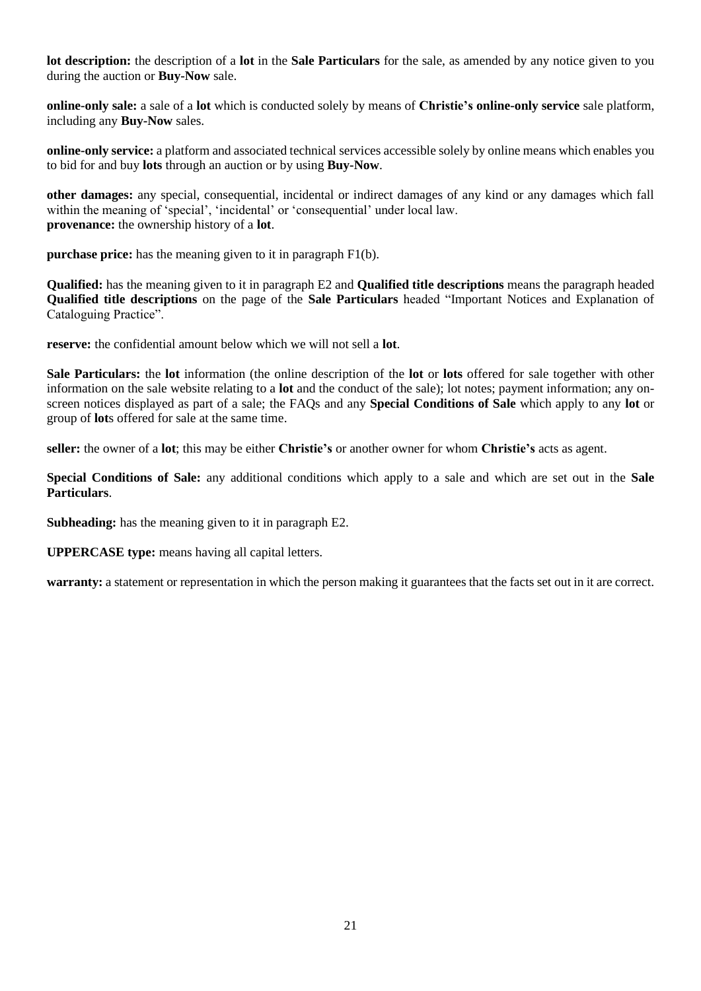**lot description:** the description of a **lot** in the **Sale Particulars** for the sale, as amended by any notice given to you during the auction or **Buy-Now** sale.

**online-only sale:** a sale of a **lot** which is conducted solely by means of **Christie's online-only service** sale platform, including any **Buy-Now** sales.

**online-only service:** a platform and associated technical services accessible solely by online means which enables you to bid for and buy **lots** through an auction or by using **Buy-Now**.

**other damages:** any special, consequential, incidental or indirect damages of any kind or any damages which fall within the meaning of 'special', 'incidental' or 'consequential' under local law. **provenance:** the ownership history of a **lot**.

**purchase price:** has the meaning given to it in paragraph F1(b).

**Qualified:** has the meaning given to it in paragraph E2 and **Qualified title descriptions** means the paragraph headed **Qualified title descriptions** on the page of the **Sale Particulars** headed "Important Notices and Explanation of Cataloguing Practice".

**reserve:** the confidential amount below which we will not sell a **lot**.

**Sale Particulars:** the **lot** information (the online description of the **lot** or **lots** offered for sale together with other information on the sale website relating to a **lot** and the conduct of the sale); lot notes; payment information; any onscreen notices displayed as part of a sale; the FAQs and any **Special Conditions of Sale** which apply to any **lot** or group of **lot**s offered for sale at the same time.

**seller:** the owner of a **lot**; this may be either **Christie's** or another owner for whom **Christie's** acts as agent.

**Special Conditions of Sale:** any additional conditions which apply to a sale and which are set out in the **Sale Particulars**.

**Subheading:** has the meaning given to it in paragraph E2.

**UPPERCASE type:** means having all capital letters.

**warranty:** a statement or representation in which the person making it guarantees that the facts set out in it are correct.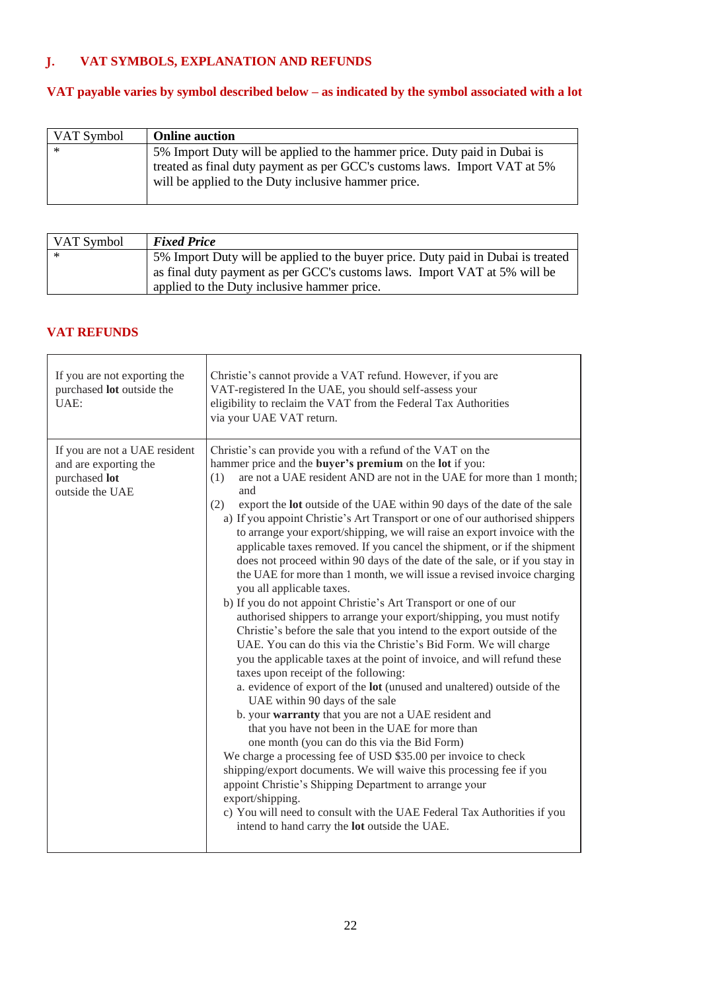# **J. VAT SYMBOLS, EXPLANATION AND REFUNDS**

# **VAT payable varies by symbol described below – as indicated by the symbol associated with a lot**

| VAT Symbol | <b>Online auction</b>                                                                                                                                                                                         |
|------------|---------------------------------------------------------------------------------------------------------------------------------------------------------------------------------------------------------------|
| $\ast$     | 5% Import Duty will be applied to the hammer price. Duty paid in Dubai is<br>treated as final duty payment as per GCC's customs laws. Import VAT at 5%<br>will be applied to the Duty inclusive hammer price. |

| VAT Symbol | <b>Fixed Price</b>                                                               |
|------------|----------------------------------------------------------------------------------|
| ∗          | 5% Import Duty will be applied to the buyer price. Duty paid in Dubai is treated |
|            | as final duty payment as per GCC's customs laws. Import VAT at 5% will be        |
|            | applied to the Duty inclusive hammer price.                                      |

## **VAT REFUNDS**

| If you are not exporting the<br>purchased lot outside the<br>UAE:                          | Christie's cannot provide a VAT refund. However, if you are<br>VAT-registered In the UAE, you should self-assess your<br>eligibility to reclaim the VAT from the Federal Tax Authorities<br>via your UAE VAT return.                                                                                                                                                                                                                                                                                                                                                                                                                                                                                                                                                                                                                                                                                                                                                                                                                                                                                                                                                                                                                                                                                                                                                                                                                                                                                                                                                                                                                                                                                                                                                                      |
|--------------------------------------------------------------------------------------------|-------------------------------------------------------------------------------------------------------------------------------------------------------------------------------------------------------------------------------------------------------------------------------------------------------------------------------------------------------------------------------------------------------------------------------------------------------------------------------------------------------------------------------------------------------------------------------------------------------------------------------------------------------------------------------------------------------------------------------------------------------------------------------------------------------------------------------------------------------------------------------------------------------------------------------------------------------------------------------------------------------------------------------------------------------------------------------------------------------------------------------------------------------------------------------------------------------------------------------------------------------------------------------------------------------------------------------------------------------------------------------------------------------------------------------------------------------------------------------------------------------------------------------------------------------------------------------------------------------------------------------------------------------------------------------------------------------------------------------------------------------------------------------------------|
| If you are not a UAE resident<br>and are exporting the<br>purchased lot<br>outside the UAE | Christie's can provide you with a refund of the VAT on the<br>hammer price and the <b>buyer's premium</b> on the <b>lot</b> if you:<br>are not a UAE resident AND are not in the UAE for more than 1 month;<br>(1)<br>and<br>export the lot outside of the UAE within 90 days of the date of the sale<br>(2)<br>a) If you appoint Christie's Art Transport or one of our authorised shippers<br>to arrange your export/shipping, we will raise an export invoice with the<br>applicable taxes removed. If you cancel the shipment, or if the shipment<br>does not proceed within 90 days of the date of the sale, or if you stay in<br>the UAE for more than 1 month, we will issue a revised invoice charging<br>you all applicable taxes.<br>b) If you do not appoint Christie's Art Transport or one of our<br>authorised shippers to arrange your export/shipping, you must notify<br>Christie's before the sale that you intend to the export outside of the<br>UAE. You can do this via the Christie's Bid Form. We will charge<br>you the applicable taxes at the point of invoice, and will refund these<br>taxes upon receipt of the following:<br>a. evidence of export of the lot (unused and unaltered) outside of the<br>UAE within 90 days of the sale<br>b. your warranty that you are not a UAE resident and<br>that you have not been in the UAE for more than<br>one month (you can do this via the Bid Form)<br>We charge a processing fee of USD \$35.00 per invoice to check<br>shipping/export documents. We will waive this processing fee if you<br>appoint Christie's Shipping Department to arrange your<br>export/shipping.<br>c) You will need to consult with the UAE Federal Tax Authorities if you<br>intend to hand carry the <b>lot</b> outside the UAE. |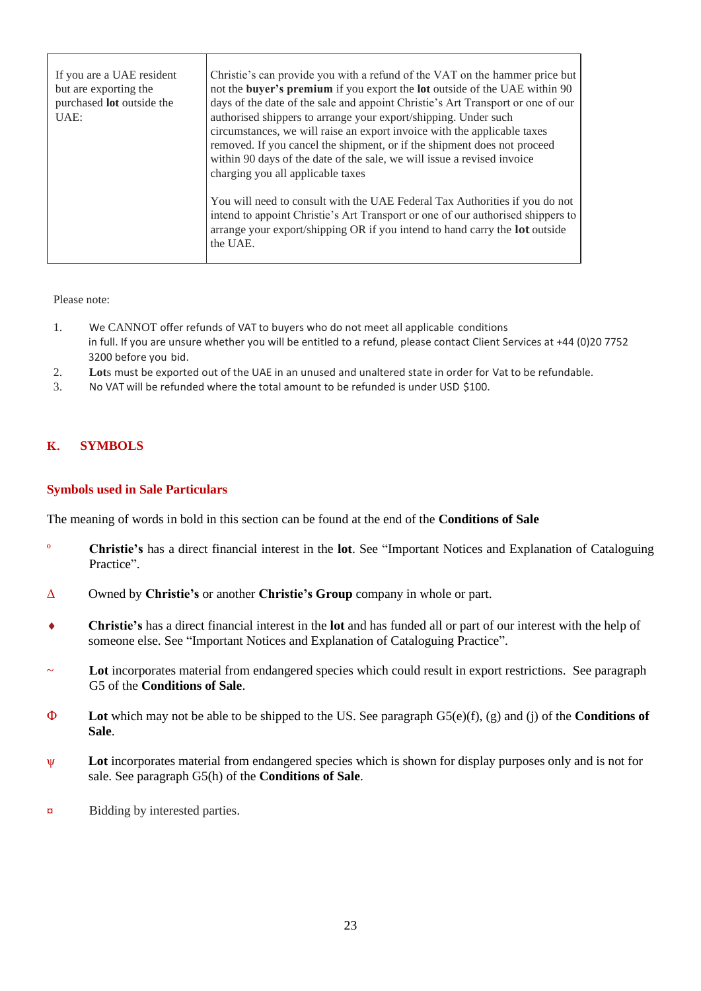| If you are a UAE resident<br>but are exporting the<br>purchased <b>lot</b> outside the<br>UAE: | Christie's can provide you with a refund of the VAT on the hammer price but<br>not the buyer's premium if you export the lot outside of the UAE within 90<br>days of the date of the sale and appoint Christie's Art Transport or one of our<br>authorised shippers to arrange your export/shipping. Under such<br>circumstances, we will raise an export invoice with the applicable taxes<br>removed. If you cancel the shipment, or if the shipment does not proceed<br>within 90 days of the date of the sale, we will issue a revised invoice<br>charging you all applicable taxes |
|------------------------------------------------------------------------------------------------|-----------------------------------------------------------------------------------------------------------------------------------------------------------------------------------------------------------------------------------------------------------------------------------------------------------------------------------------------------------------------------------------------------------------------------------------------------------------------------------------------------------------------------------------------------------------------------------------|
|                                                                                                | You will need to consult with the UAE Federal Tax Authorities if you do not<br>intend to appoint Christie's Art Transport or one of our authorised shippers to<br>arrange your export/shipping OR if you intend to hand carry the <b>lot</b> outside<br>the UAE.                                                                                                                                                                                                                                                                                                                        |

Please note:

- 1. We CANNOT offer refunds of VAT to buyers who do not meet all applicable conditions in full. If you are unsure whether you will be entitled to a refund, please contact Client Services at +44 (0)20 7752 3200 before you bid.
- 2. **Lot**s must be exported out of the UAE in an unused and unaltered state in order for Vat to be refundable.
- 3. No VAT will be refunded where the total amount to be refunded is under USD \$100.

## **K. SYMBOLS**

## **Symbols used in Sale Particulars**

The meaning of words in bold in this section can be found at the end of the **Conditions of Sale**

- º **Christie's** has a direct financial interest in the **lot**. See "Important Notices and Explanation of Cataloguing Practice".
- Δ Owned by **Christie's** or another **Christie's Group** company in whole or part.
- **Christie's** has a direct financial interest in the **lot** and has funded all or part of our interest with the help of someone else. See "Important Notices and Explanation of Cataloguing Practice".
- Lot incorporates material from endangered species which could result in export restrictions. See paragraph G5 of the **Conditions of Sale**.
- Φ **Lot** which may not be able to be shipped to the US. See paragraph G5(e)(f), (g) and (j) of the **Conditions of Sale**.
- ψ **Lot** incorporates material from endangered species which is shown for display purposes only and is not for sale. See paragraph G5(h) of the **Conditions of Sale**.
- **¤** Bidding by interested parties.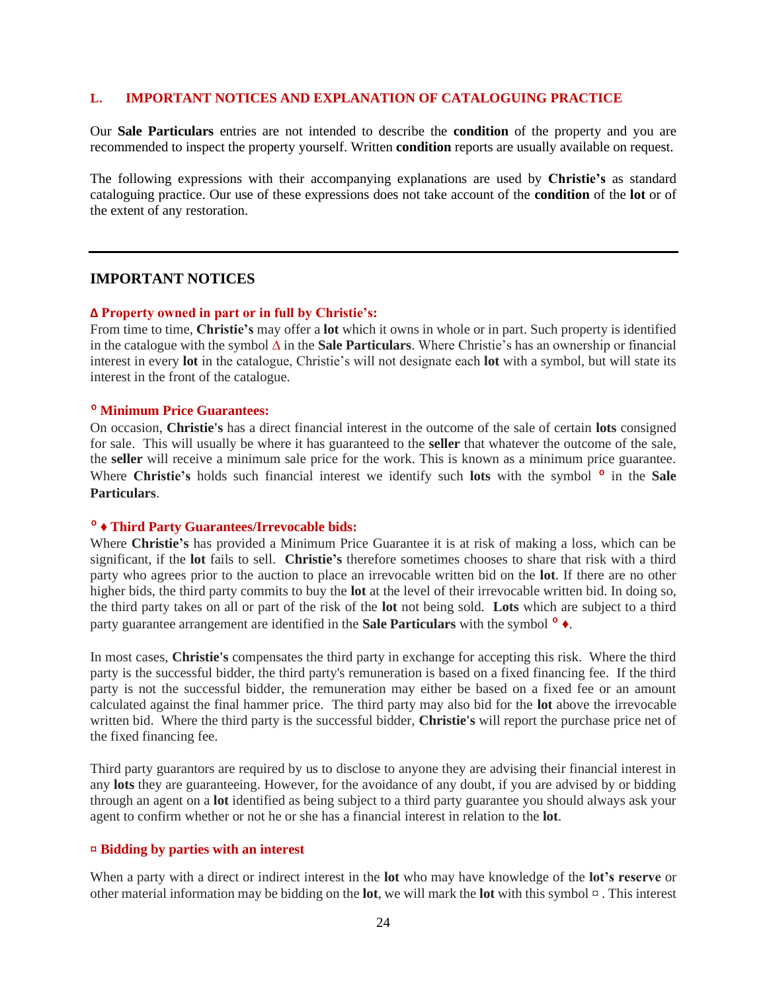#### **L. IMPORTANT NOTICES AND EXPLANATION OF CATALOGUING PRACTICE**

Our **Sale Particulars** entries are not intended to describe the **condition** of the property and you are recommended to inspect the property yourself. Written **condition** reports are usually available on request.

The following expressions with their accompanying explanations are used by **Christie's** as standard cataloguing practice. Our use of these expressions does not take account of the **condition** of the **lot** or of the extent of any restoration.

#### **IMPORTANT NOTICES**

#### **∆ Property owned in part or in full by Christie's:**

From time to time, **Christie's** may offer a **lot** which it owns in whole or in part. Such property is identified in the catalogue with the symbol **∆** in the **Sale Particulars**. Where Christie's has an ownership or financial interest in every **lot** in the catalogue, Christie's will not designate each **lot** with a symbol, but will state its interest in the front of the catalogue.

## º **Minimum Price Guarantees:**

On occasion, **Christie's** has a direct financial interest in the outcome of the sale of certain **lots** consigned for sale. This will usually be where it has guaranteed to the **seller** that whatever the outcome of the sale, the **seller** will receive a minimum sale price for the work. This is known as a minimum price guarantee. Where **Christie's** holds such financial interest we identify such **lots** with the symbol <sup>o</sup> in the **Sale Particulars**.

#### º **♦ Third Party Guarantees/Irrevocable bids:**

Where **Christie's** has provided a Minimum Price Guarantee it is at risk of making a loss, which can be significant, if the **lot** fails to sell. **Christie's** therefore sometimes chooses to share that risk with a third party who agrees prior to the auction to place an irrevocable written bid on the **lot**. If there are no other higher bids, the third party commits to buy the **lot** at the level of their irrevocable written bid. In doing so, the third party takes on all or part of the risk of the **lot** not being sold. **Lots** which are subject to a third party guarantee arrangement are identified in the **Sale Particulars** with the symbol º **♦**.

In most cases, **Christie's** compensates the third party in exchange for accepting this risk. Where the third party is the successful bidder, the third party's remuneration is based on a fixed financing fee. If the third party is not the successful bidder, the remuneration may either be based on a fixed fee or an amount calculated against the final hammer price. The third party may also bid for the **lot** above the irrevocable written bid. Where the third party is the successful bidder, **Christie's** will report the purchase price net of the fixed financing fee.

Third party guarantors are required by us to disclose to anyone they are advising their financial interest in any **lots** they are guaranteeing. However, for the avoidance of any doubt, if you are advised by or bidding through an agent on a **lot** identified as being subject to a third party guarantee you should always ask your agent to confirm whether or not he or she has a financial interest in relation to the **lot**.

#### **¤ Bidding by parties with an interest**

When a party with a direct or indirect interest in the **lot** who may have knowledge of the **lot's reserve** or other material information may be bidding on the **lot**, we will mark the **lot** with this symbol ¤ . This interest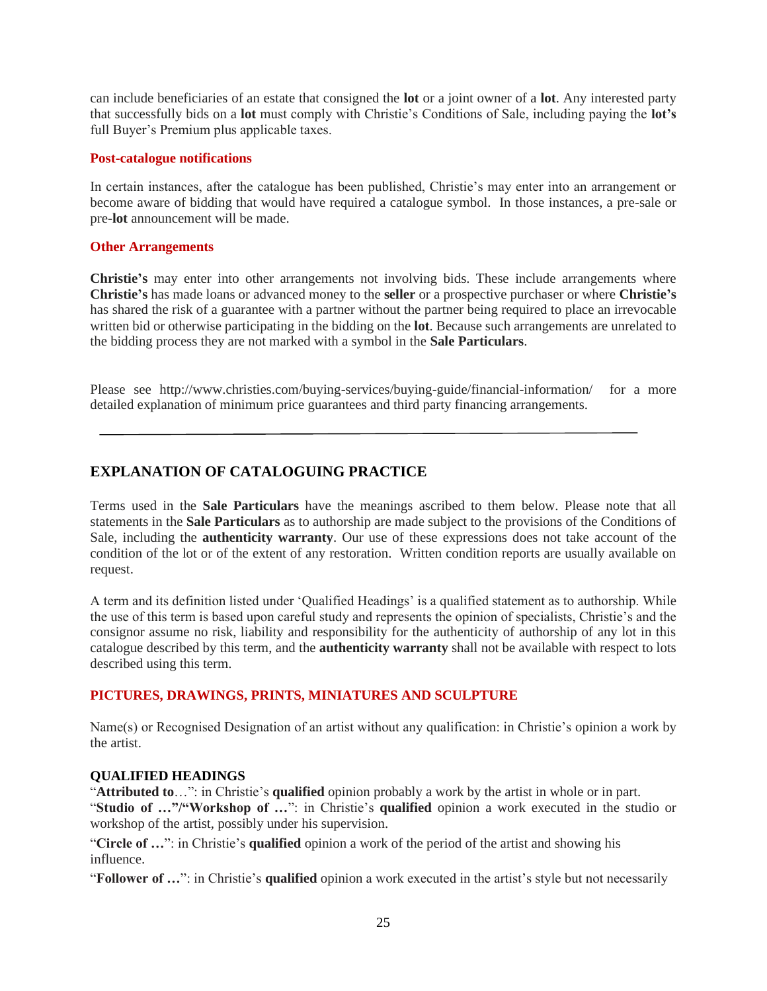can include beneficiaries of an estate that consigned the **lot** or a joint owner of a **lot**. Any interested party that successfully bids on a **lot** must comply with Christie's Conditions of Sale, including paying the **lot's** full Buyer's Premium plus applicable taxes.

#### **Post-catalogue notifications**

In certain instances, after the catalogue has been published, Christie's may enter into an arrangement or become aware of bidding that would have required a catalogue symbol. In those instances, a pre-sale or pre-**lot** announcement will be made.

#### **Other Arrangements**

**Christie's** may enter into other arrangements not involving bids. These include arrangements where **Christie's** has made loans or advanced money to the **seller** or a prospective purchaser or where **Christie's** has shared the risk of a guarantee with a partner without the partner being required to place an irrevocable written bid or otherwise participating in the bidding on the **lot**. Because such arrangements are unrelated to the bidding process they are not marked with a symbol in the **Sale Particulars**.

Please see http://www.christies.com/buying-services/buying-guide/financial-information/ for a more detailed explanation of minimum price guarantees and third party financing arrangements.

# **EXPLANATION OF CATALOGUING PRACTICE**

Terms used in the **Sale Particulars** have the meanings ascribed to them below. Please note that all statements in the **Sale Particulars** as to authorship are made subject to the provisions of the Conditions of Sale, including the **authenticity warranty**. Our use of these expressions does not take account of the condition of the lot or of the extent of any restoration. Written condition reports are usually available on request.

A term and its definition listed under 'Qualified Headings' is a qualified statement as to authorship. While the use of this term is based upon careful study and represents the opinion of specialists, Christie's and the consignor assume no risk, liability and responsibility for the authenticity of authorship of any lot in this catalogue described by this term, and the **authenticity warranty** shall not be available with respect to lots described using this term.

#### **PICTURES, DRAWINGS, PRINTS, MINIATURES AND SCULPTURE**

Name(s) or Recognised Designation of an artist without any qualification: in Christie's opinion a work by the artist.

#### **QUALIFIED HEADINGS**

"**Attributed to**…": in Christie's **qualified** opinion probably a work by the artist in whole or in part. "**Studio of …"/"Workshop of …**": in Christie's **qualified** opinion a work executed in the studio or workshop of the artist, possibly under his supervision.

"**Circle of …**": in Christie's **qualified** opinion a work of the period of the artist and showing his influence.

"**Follower of …**": in Christie's **qualified** opinion a work executed in the artist's style but not necessarily